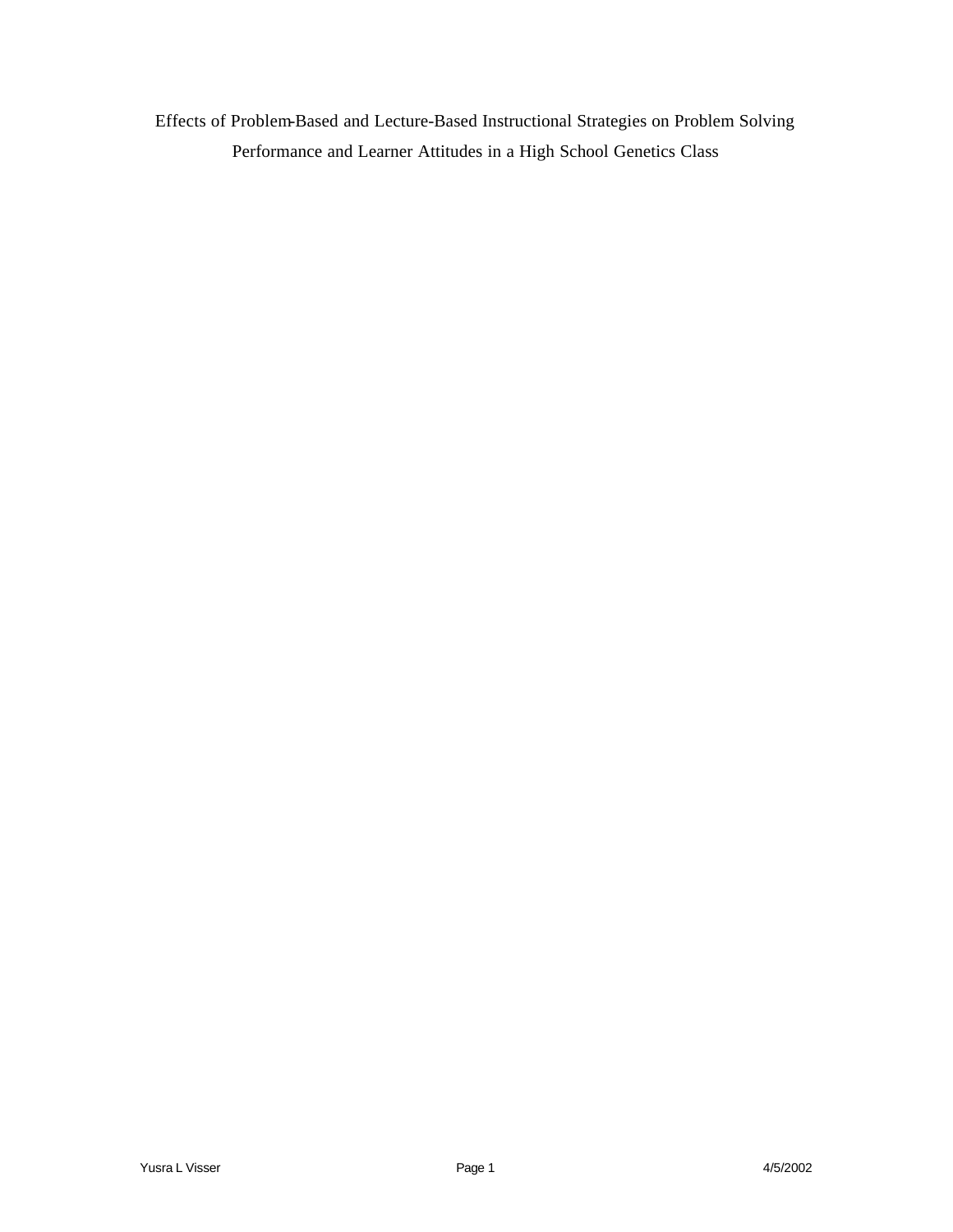Effects of Problem-Based and Lecture-Based Instructional Strategies on Problem Solving Performance and Learner Attitudes in a High School Genetics Class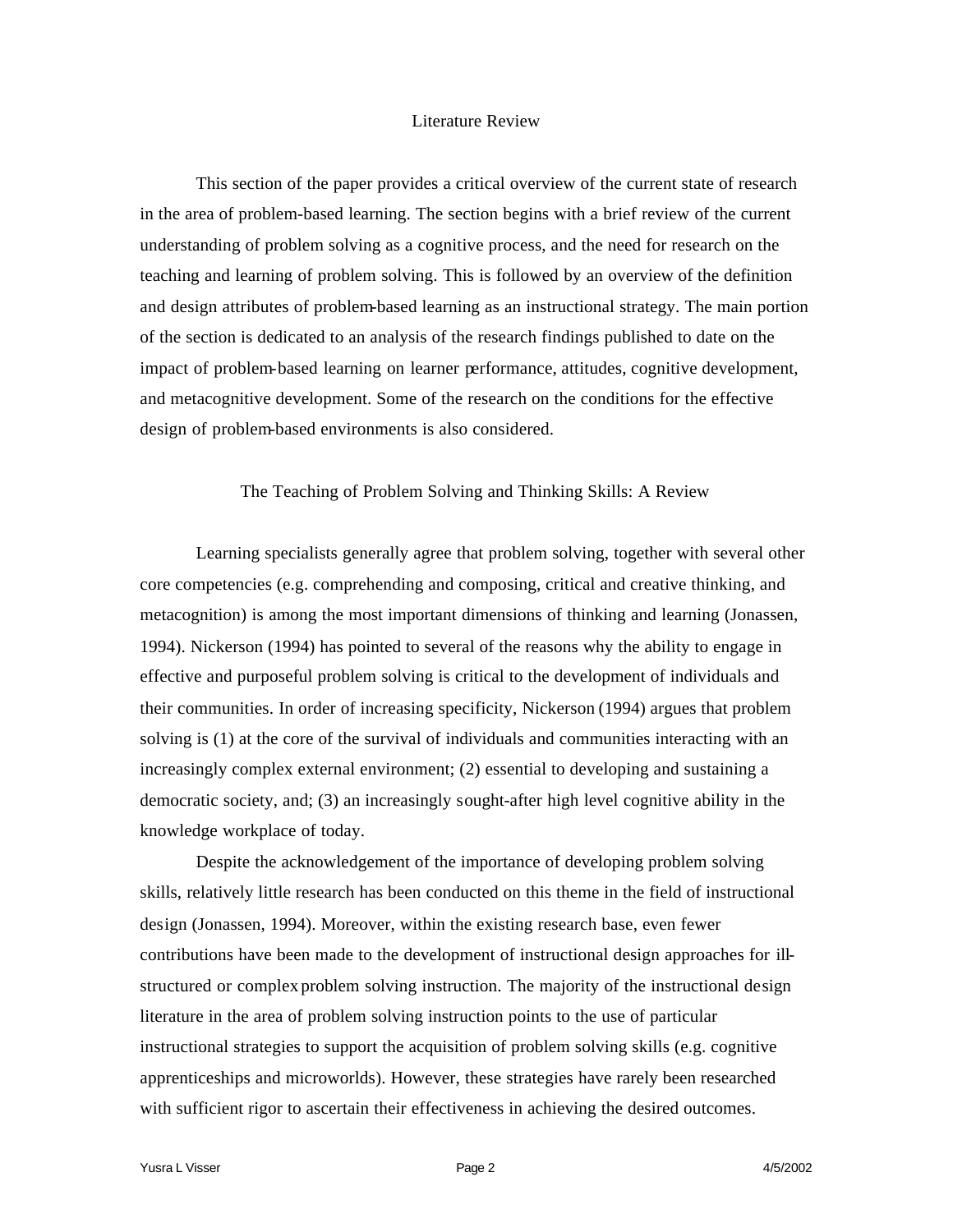# Literature Review

This section of the paper provides a critical overview of the current state of research in the area of problem-based learning. The section begins with a brief review of the current understanding of problem solving as a cognitive process, and the need for research on the teaching and learning of problem solving. This is followed by an overview of the definition and design attributes of problem-based learning as an instructional strategy. The main portion of the section is dedicated to an analysis of the research findings published to date on the impact of problem-based learning on learner performance, attitudes, cognitive development, and metacognitive development. Some of the research on the conditions for the effective design of problem-based environments is also considered.

# The Teaching of Problem Solving and Thinking Skills: A Review

Learning specialists generally agree that problem solving, together with several other core competencies (e.g. comprehending and composing, critical and creative thinking, and metacognition) is among the most important dimensions of thinking and learning (Jonassen, 1994). Nickerson (1994) has pointed to several of the reasons why the ability to engage in effective and purposeful problem solving is critical to the development of individuals and their communities. In order of increasing specificity, Nickerson (1994) argues that problem solving is (1) at the core of the survival of individuals and communities interacting with an increasingly complex external environment; (2) essential to developing and sustaining a democratic society, and; (3) an increasingly sought-after high level cognitive ability in the knowledge workplace of today.

Despite the acknowledgement of the importance of developing problem solving skills, relatively little research has been conducted on this theme in the field of instructional design (Jonassen, 1994). Moreover, within the existing research base, even fewer contributions have been made to the development of instructional design approaches for illstructured or complex problem solving instruction. The majority of the instructional design literature in the area of problem solving instruction points to the use of particular instructional strategies to support the acquisition of problem solving skills (e.g. cognitive apprenticeships and microworlds). However, these strategies have rarely been researched with sufficient rigor to ascertain their effectiveness in achieving the desired outcomes.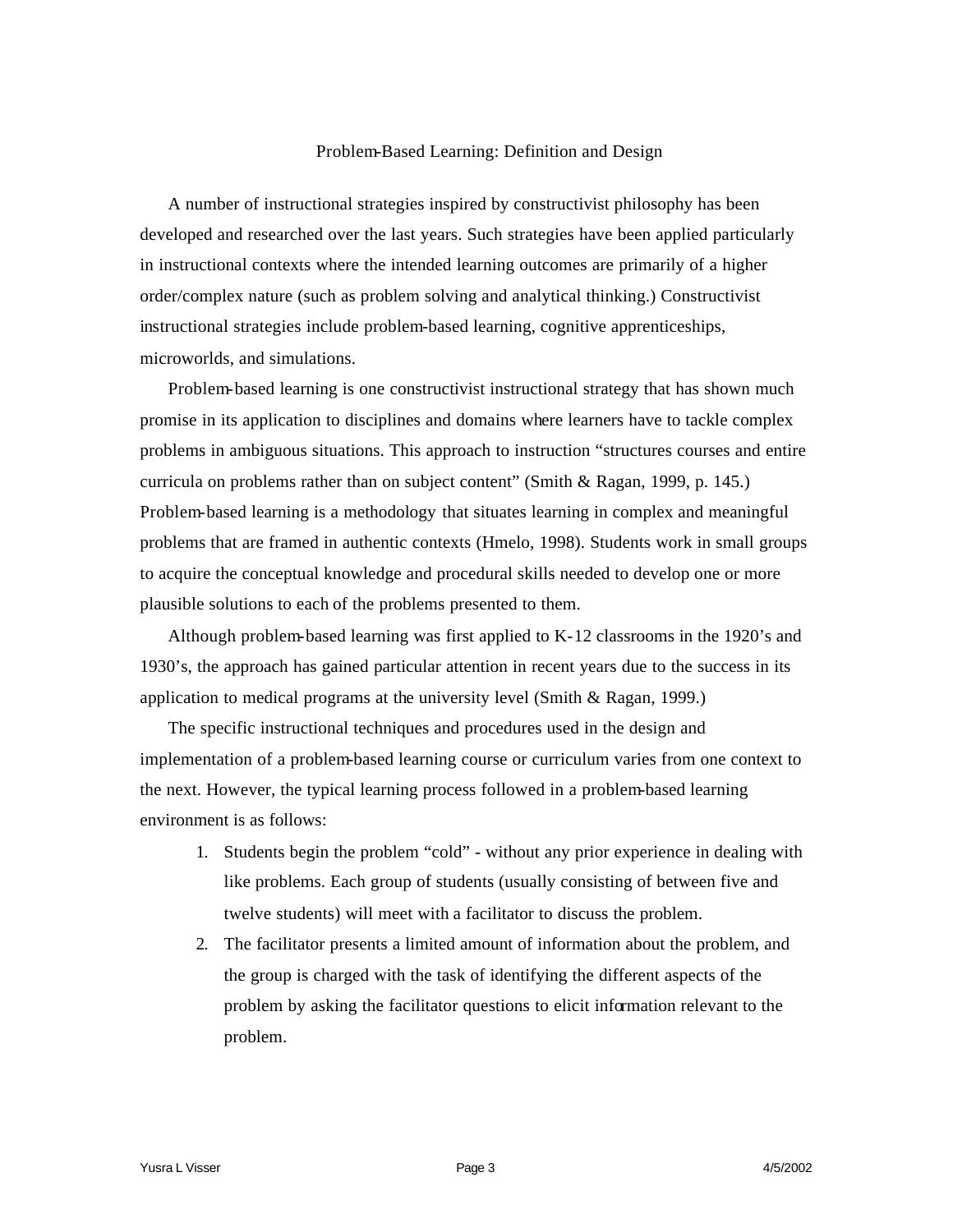#### Problem-Based Learning: Definition and Design

A number of instructional strategies inspired by constructivist philosophy has been developed and researched over the last years. Such strategies have been applied particularly in instructional contexts where the intended learning outcomes are primarily of a higher order/complex nature (such as problem solving and analytical thinking.) Constructivist instructional strategies include problem-based learning, cognitive apprenticeships, microworlds, and simulations.

Problem-based learning is one constructivist instructional strategy that has shown much promise in its application to disciplines and domains where learners have to tackle complex problems in ambiguous situations. This approach to instruction "structures courses and entire curricula on problems rather than on subject content" (Smith & Ragan, 1999, p. 145.) Problem-based learning is a methodology that situates learning in complex and meaningful problems that are framed in authentic contexts (Hmelo, 1998). Students work in small groups to acquire the conceptual knowledge and procedural skills needed to develop one or more plausible solutions to each of the problems presented to them.

Although problem-based learning was first applied to K-12 classrooms in the 1920's and 1930's, the approach has gained particular attention in recent years due to the success in its application to medical programs at the university level (Smith & Ragan, 1999.)

The specific instructional techniques and procedures used in the design and implementation of a problem-based learning course or curriculum varies from one context to the next. However, the typical learning process followed in a problem-based learning environment is as follows:

- 1. Students begin the problem "cold" without any prior experience in dealing with like problems. Each group of students (usually consisting of between five and twelve students) will meet with a facilitator to discuss the problem.
- 2. The facilitator presents a limited amount of information about the problem, and the group is charged with the task of identifying the different aspects of the problem by asking the facilitator questions to elicit information relevant to the problem.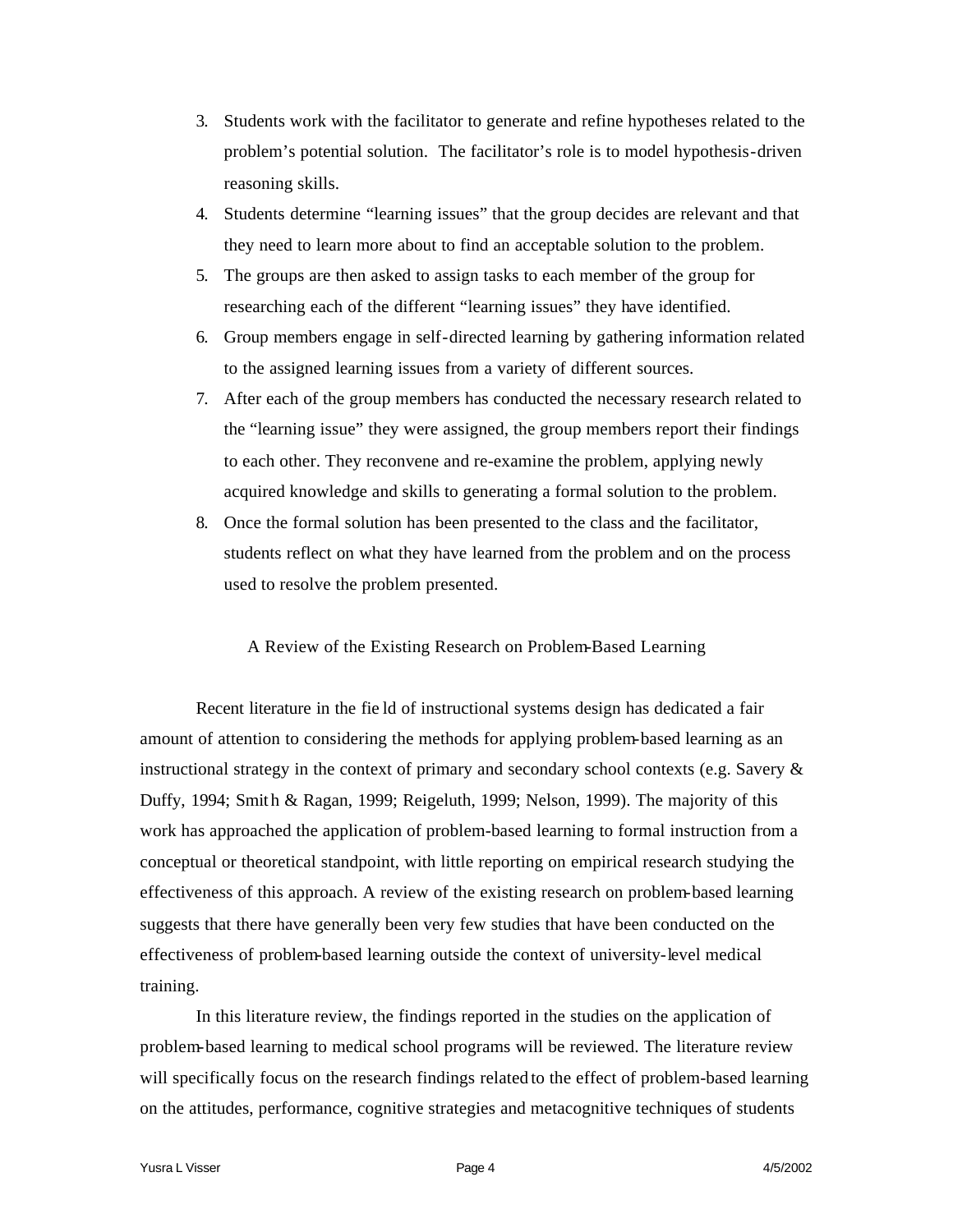- 3. Students work with the facilitator to generate and refine hypotheses related to the problem's potential solution. The facilitator's role is to model hypothesis-driven reasoning skills.
- 4. Students determine "learning issues" that the group decides are relevant and that they need to learn more about to find an acceptable solution to the problem.
- 5. The groups are then asked to assign tasks to each member of the group for researching each of the different "learning issues" they have identified.
- 6. Group members engage in self-directed learning by gathering information related to the assigned learning issues from a variety of different sources.
- 7. After each of the group members has conducted the necessary research related to the "learning issue" they were assigned, the group members report their findings to each other. They reconvene and re-examine the problem, applying newly acquired knowledge and skills to generating a formal solution to the problem.
- 8. Once the formal solution has been presented to the class and the facilitator, students reflect on what they have learned from the problem and on the process used to resolve the problem presented.

## A Review of the Existing Research on Problem-Based Learning

Recent literature in the fie ld of instructional systems design has dedicated a fair amount of attention to considering the methods for applying problem-based learning as an instructional strategy in the context of primary and secondary school contexts (e.g. Savery & Duffy, 1994; Smith & Ragan, 1999; Reigeluth, 1999; Nelson, 1999). The majority of this work has approached the application of problem-based learning to formal instruction from a conceptual or theoretical standpoint, with little reporting on empirical research studying the effectiveness of this approach. A review of the existing research on problem-based learning suggests that there have generally been very few studies that have been conducted on the effectiveness of problem-based learning outside the context of university-level medical training.

In this literature review, the findings reported in the studies on the application of problem-based learning to medical school programs will be reviewed. The literature review will specifically focus on the research findings related to the effect of problem-based learning on the attitudes, performance, cognitive strategies and metacognitive techniques of students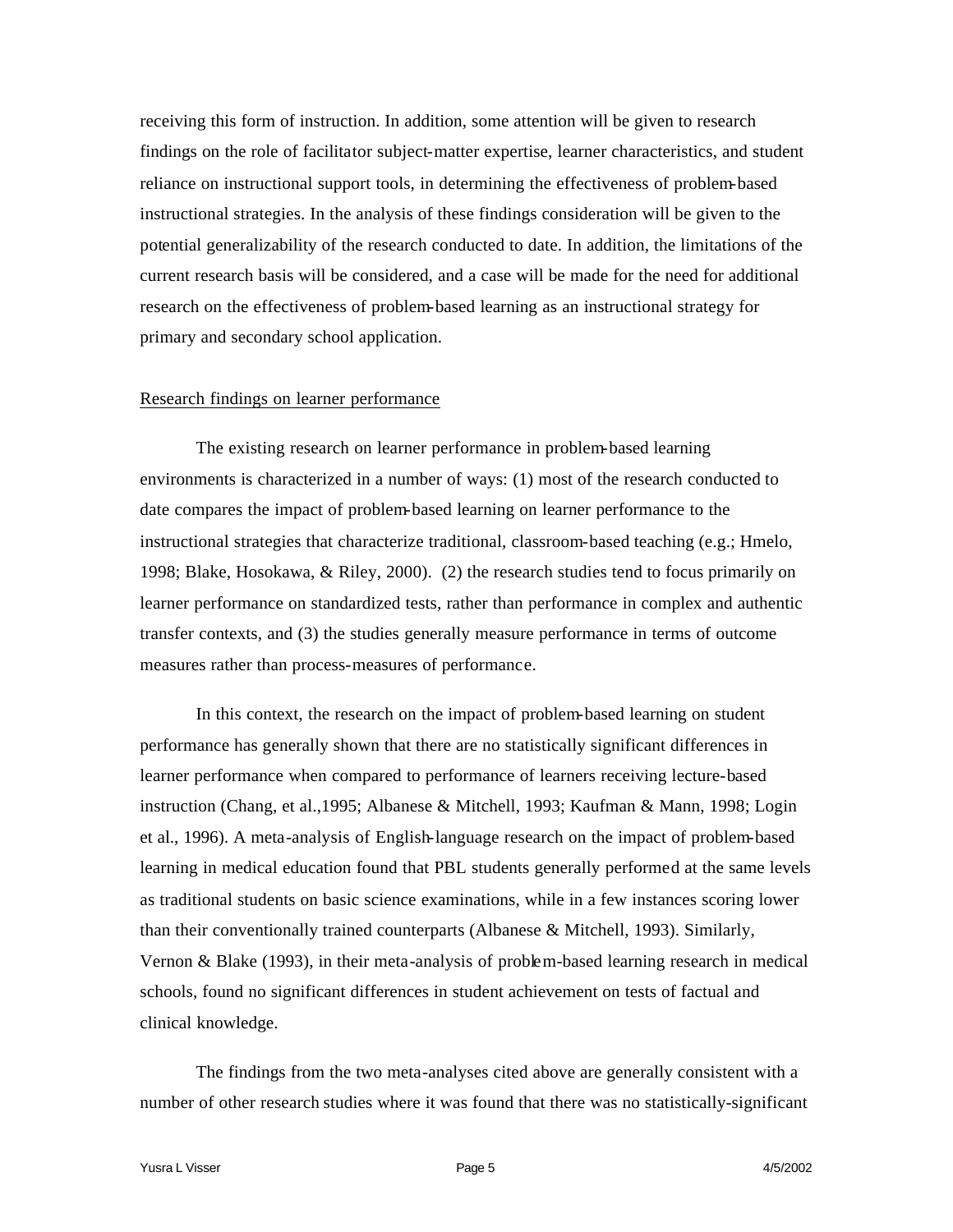receiving this form of instruction. In addition, some attention will be given to research findings on the role of facilitator subject-matter expertise, learner characteristics, and student reliance on instructional support tools, in determining the effectiveness of problem-based instructional strategies. In the analysis of these findings consideration will be given to the potential generalizability of the research conducted to date. In addition, the limitations of the current research basis will be considered, and a case will be made for the need for additional research on the effectiveness of problem-based learning as an instructional strategy for primary and secondary school application.

#### Research findings on learner performance

The existing research on learner performance in problem-based learning environments is characterized in a number of ways: (1) most of the research conducted to date compares the impact of problem-based learning on learner performance to the instructional strategies that characterize traditional, classroom-based teaching (e.g.; Hmelo, 1998; Blake, Hosokawa, & Riley, 2000). (2) the research studies tend to focus primarily on learner performance on standardized tests, rather than performance in complex and authentic transfer contexts, and (3) the studies generally measure performance in terms of outcome measures rather than process-measures of performance.

In this context, the research on the impact of problem-based learning on student performance has generally shown that there are no statistically significant differences in learner performance when compared to performance of learners receiving lecture-based instruction (Chang, et al.,1995; Albanese & Mitchell, 1993; Kaufman & Mann, 1998; Login et al., 1996). A meta-analysis of English-language research on the impact of problem-based learning in medical education found that PBL students generally performed at the same levels as traditional students on basic science examinations, while in a few instances scoring lower than their conventionally trained counterparts (Albanese & Mitchell, 1993). Similarly, Vernon & Blake (1993), in their meta-analysis of problem-based learning research in medical schools, found no significant differences in student achievement on tests of factual and clinical knowledge.

The findings from the two meta-analyses cited above are generally consistent with a number of other research studies where it was found that there was no statistically-significant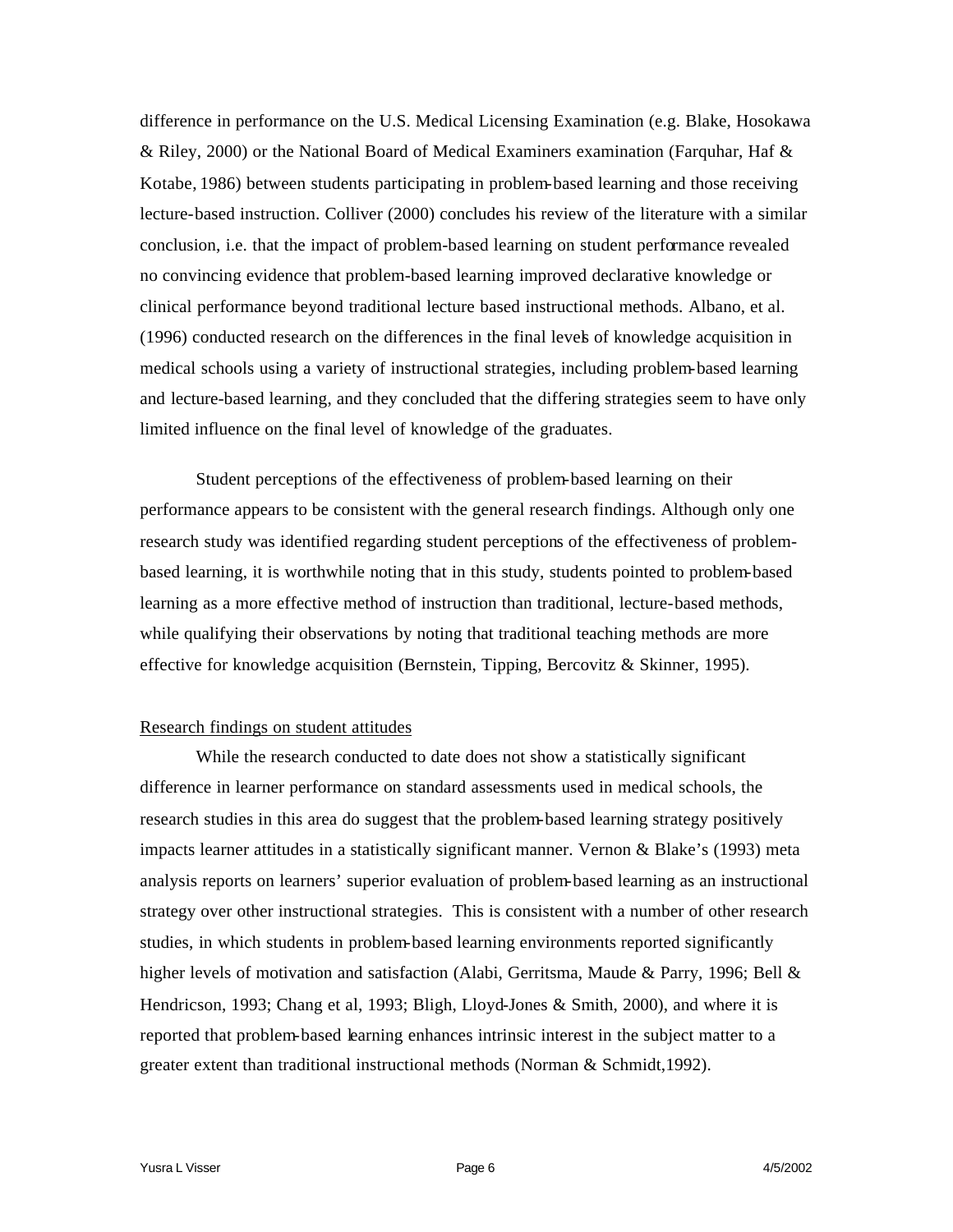difference in performance on the U.S. Medical Licensing Examination (e.g. Blake, Hosokawa & Riley, 2000) or the National Board of Medical Examiners examination (Farquhar, Haf & Kotabe, 1986) between students participating in problem-based learning and those receiving lecture-based instruction. Colliver (2000) concludes his review of the literature with a similar conclusion, i.e. that the impact of problem-based learning on student performance revealed no convincing evidence that problem-based learning improved declarative knowledge or clinical performance beyond traditional lecture based instructional methods. Albano, et al. (1996) conducted research on the differences in the final levels of knowledge acquisition in medical schools using a variety of instructional strategies, including problem-based learning and lecture-based learning, and they concluded that the differing strategies seem to have only limited influence on the final level of knowledge of the graduates.

Student perceptions of the effectiveness of problem-based learning on their performance appears to be consistent with the general research findings. Although only one research study was identified regarding student perceptions of the effectiveness of problembased learning, it is worthwhile noting that in this study, students pointed to problem-based learning as a more effective method of instruction than traditional, lecture-based methods, while qualifying their observations by noting that traditional teaching methods are more effective for knowledge acquisition (Bernstein, Tipping, Bercovitz & Skinner, 1995).

# Research findings on student attitudes

While the research conducted to date does not show a statistically significant difference in learner performance on standard assessments used in medical schools, the research studies in this area do suggest that the problem-based learning strategy positively impacts learner attitudes in a statistically significant manner. Vernon & Blake's (1993) meta analysis reports on learners' superior evaluation of problem-based learning as an instructional strategy over other instructional strategies. This is consistent with a number of other research studies, in which students in problem-based learning environments reported significantly higher levels of motivation and satisfaction (Alabi, Gerritsma, Maude & Parry, 1996; Bell & Hendricson, 1993; Chang et al, 1993; Bligh, Lloyd-Jones & Smith, 2000), and where it is reported that problem-based learning enhances intrinsic interest in the subject matter to a greater extent than traditional instructional methods (Norman & Schmidt,1992).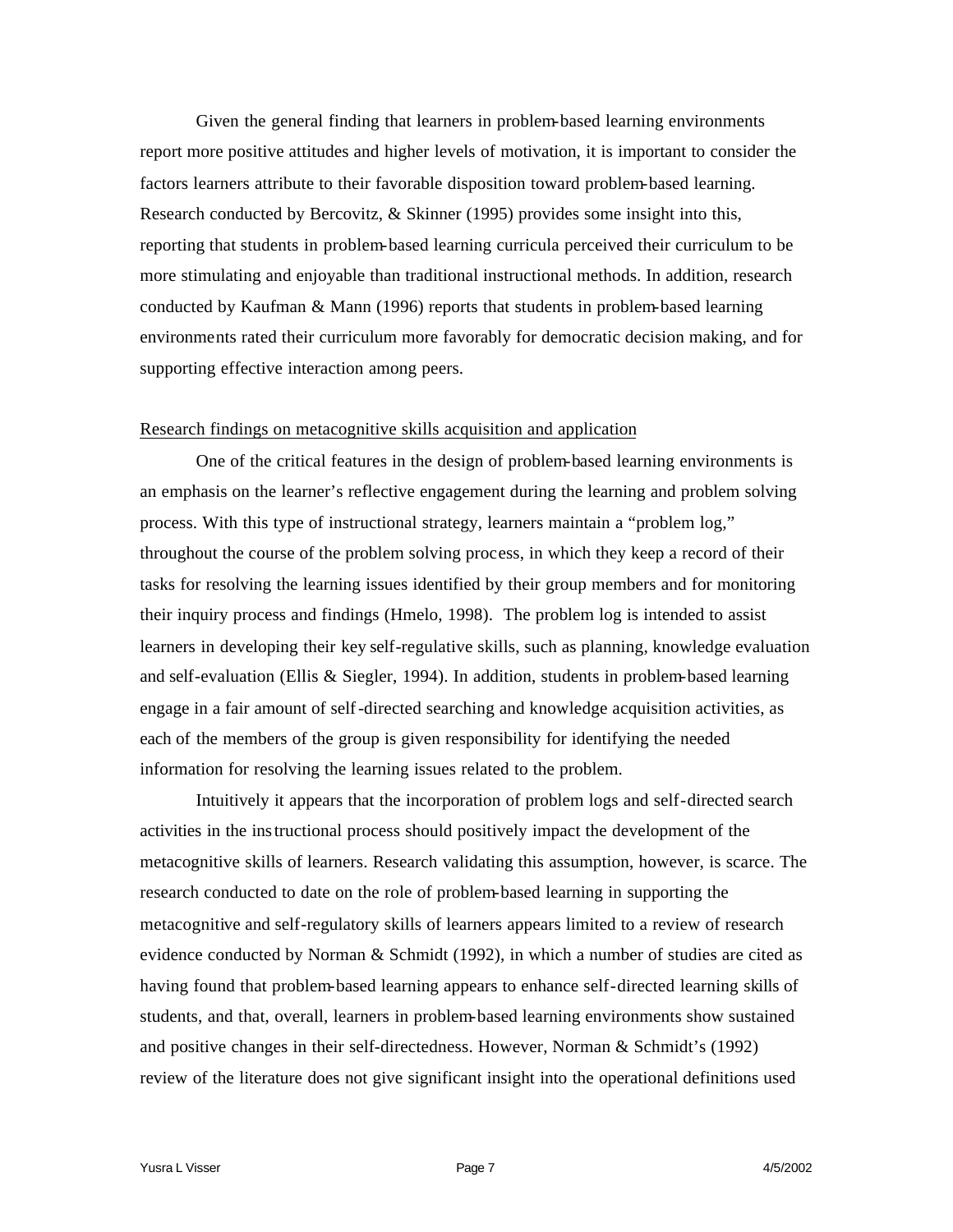Given the general finding that learners in problem-based learning environments report more positive attitudes and higher levels of motivation, it is important to consider the factors learners attribute to their favorable disposition toward problem-based learning. Research conducted by Bercovitz, & Skinner (1995) provides some insight into this, reporting that students in problem-based learning curricula perceived their curriculum to be more stimulating and enjoyable than traditional instructional methods. In addition, research conducted by Kaufman & Mann (1996) reports that students in problem-based learning environments rated their curriculum more favorably for democratic decision making, and for supporting effective interaction among peers.

#### Research findings on metacognitive skills acquisition and application

One of the critical features in the design of problem-based learning environments is an emphasis on the learner's reflective engagement during the learning and problem solving process. With this type of instructional strategy, learners maintain a "problem log," throughout the course of the problem solving process, in which they keep a record of their tasks for resolving the learning issues identified by their group members and for monitoring their inquiry process and findings (Hmelo, 1998). The problem log is intended to assist learners in developing their key self-regulative skills, such as planning, knowledge evaluation and self-evaluation (Ellis & Siegler, 1994). In addition, students in problem-based learning engage in a fair amount of self-directed searching and knowledge acquisition activities, as each of the members of the group is given responsibility for identifying the needed information for resolving the learning issues related to the problem.

Intuitively it appears that the incorporation of problem logs and self-directed search activities in the instructional process should positively impact the development of the metacognitive skills of learners. Research validating this assumption, however, is scarce. The research conducted to date on the role of problem-based learning in supporting the metacognitive and self-regulatory skills of learners appears limited to a review of research evidence conducted by Norman & Schmidt (1992), in which a number of studies are cited as having found that problem-based learning appears to enhance self-directed learning skills of students, and that, overall, learners in problem-based learning environments show sustained and positive changes in their self-directedness. However, Norman & Schmidt's (1992) review of the literature does not give significant insight into the operational definitions used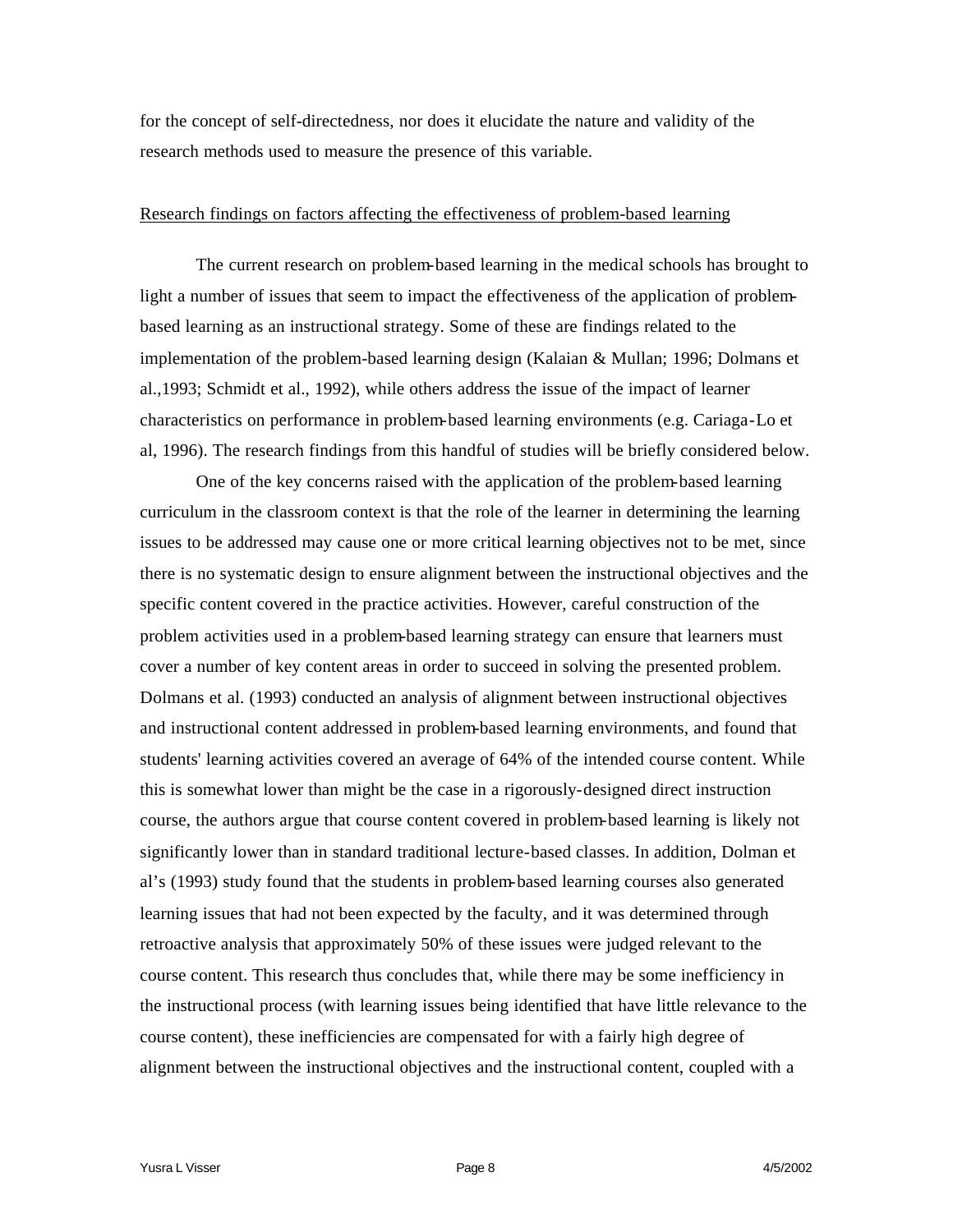for the concept of self-directedness, nor does it elucidate the nature and validity of the research methods used to measure the presence of this variable.

# Research findings on factors affecting the effectiveness of problem-based learning

The current research on problem-based learning in the medical schools has brought to light a number of issues that seem to impact the effectiveness of the application of problembased learning as an instructional strategy. Some of these are findings related to the implementation of the problem-based learning design (Kalaian & Mullan; 1996; Dolmans et al.,1993; Schmidt et al., 1992), while others address the issue of the impact of learner characteristics on performance in problem-based learning environments (e.g. Cariaga-Lo et al, 1996). The research findings from this handful of studies will be briefly considered below.

One of the key concerns raised with the application of the problem-based learning curriculum in the classroom context is that the role of the learner in determining the learning issues to be addressed may cause one or more critical learning objectives not to be met, since there is no systematic design to ensure alignment between the instructional objectives and the specific content covered in the practice activities. However, careful construction of the problem activities used in a problem-based learning strategy can ensure that learners must cover a number of key content areas in order to succeed in solving the presented problem. Dolmans et al. (1993) conducted an analysis of alignment between instructional objectives and instructional content addressed in problem-based learning environments, and found that students' learning activities covered an average of 64% of the intended course content. While this is somewhat lower than might be the case in a rigorously-designed direct instruction course, the authors argue that course content covered in problem-based learning is likely not significantly lower than in standard traditional lecture-based classes. In addition, Dolman et al's (1993) study found that the students in problem-based learning courses also generated learning issues that had not been expected by the faculty, and it was determined through retroactive analysis that approximately 50% of these issues were judged relevant to the course content. This research thus concludes that, while there may be some inefficiency in the instructional process (with learning issues being identified that have little relevance to the course content), these inefficiencies are compensated for with a fairly high degree of alignment between the instructional objectives and the instructional content, coupled with a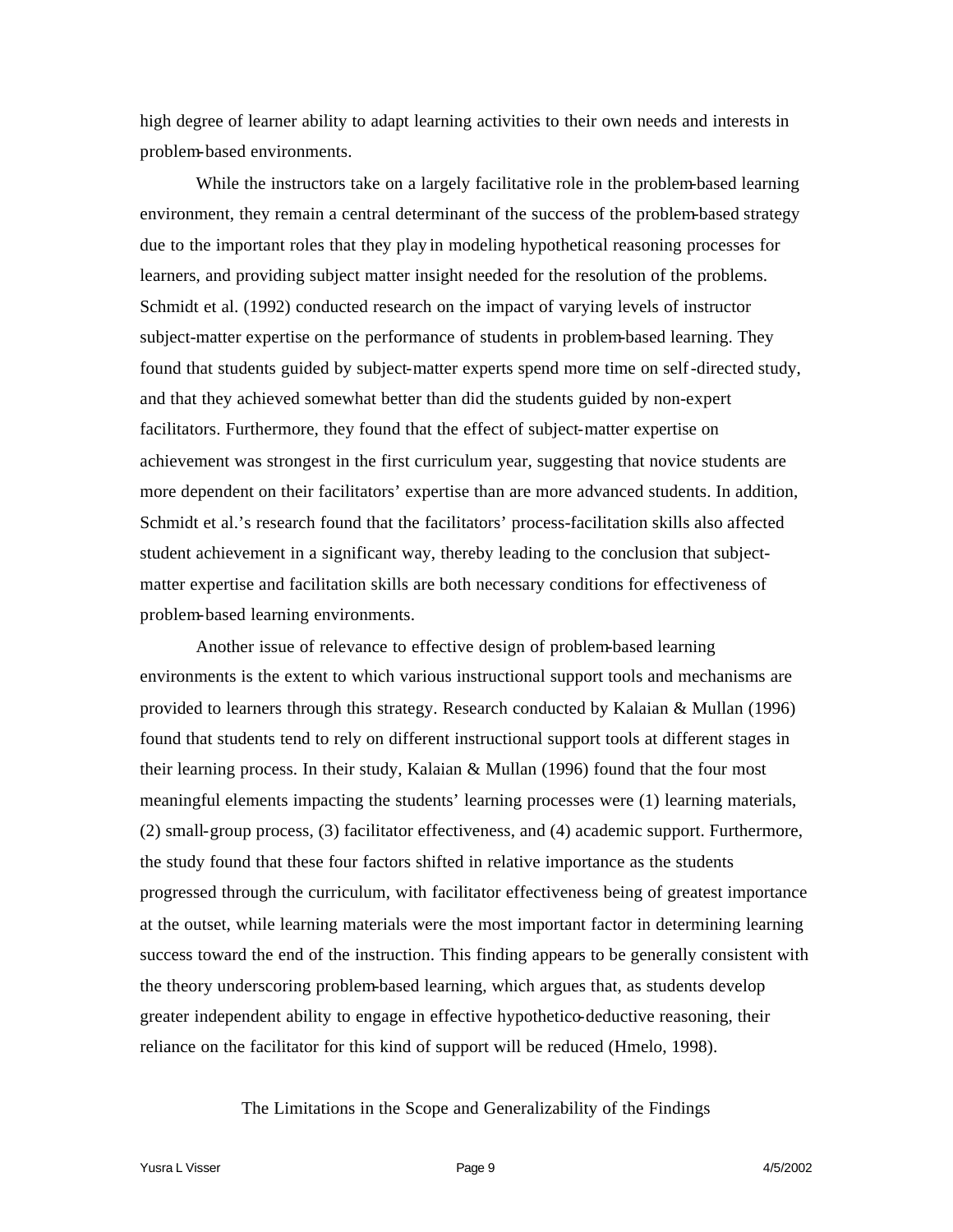high degree of learner ability to adapt learning activities to their own needs and interests in problem-based environments.

While the instructors take on a largely facilitative role in the problem-based learning environment, they remain a central determinant of the success of the problem-based strategy due to the important roles that they play in modeling hypothetical reasoning processes for learners, and providing subject matter insight needed for the resolution of the problems. Schmidt et al. (1992) conducted research on the impact of varying levels of instructor subject-matter expertise on the performance of students in problem-based learning. They found that students guided by subject-matter experts spend more time on self-directed study, and that they achieved somewhat better than did the students guided by non-expert facilitators. Furthermore, they found that the effect of subject-matter expertise on achievement was strongest in the first curriculum year, suggesting that novice students are more dependent on their facilitators' expertise than are more advanced students. In addition, Schmidt et al.'s research found that the facilitators' process-facilitation skills also affected student achievement in a significant way, thereby leading to the conclusion that subjectmatter expertise and facilitation skills are both necessary conditions for effectiveness of problem-based learning environments.

Another issue of relevance to effective design of problem-based learning environments is the extent to which various instructional support tools and mechanisms are provided to learners through this strategy. Research conducted by Kalaian & Mullan (1996) found that students tend to rely on different instructional support tools at different stages in their learning process. In their study, Kalaian & Mullan (1996) found that the four most meaningful elements impacting the students' learning processes were (1) learning materials, (2) small-group process, (3) facilitator effectiveness, and (4) academic support. Furthermore, the study found that these four factors shifted in relative importance as the students progressed through the curriculum, with facilitator effectiveness being of greatest importance at the outset, while learning materials were the most important factor in determining learning success toward the end of the instruction. This finding appears to be generally consistent with the theory underscoring problem-based learning, which argues that, as students develop greater independent ability to engage in effective hypothetico-deductive reasoning, their reliance on the facilitator for this kind of support will be reduced (Hmelo, 1998).

The Limitations in the Scope and Generalizability of the Findings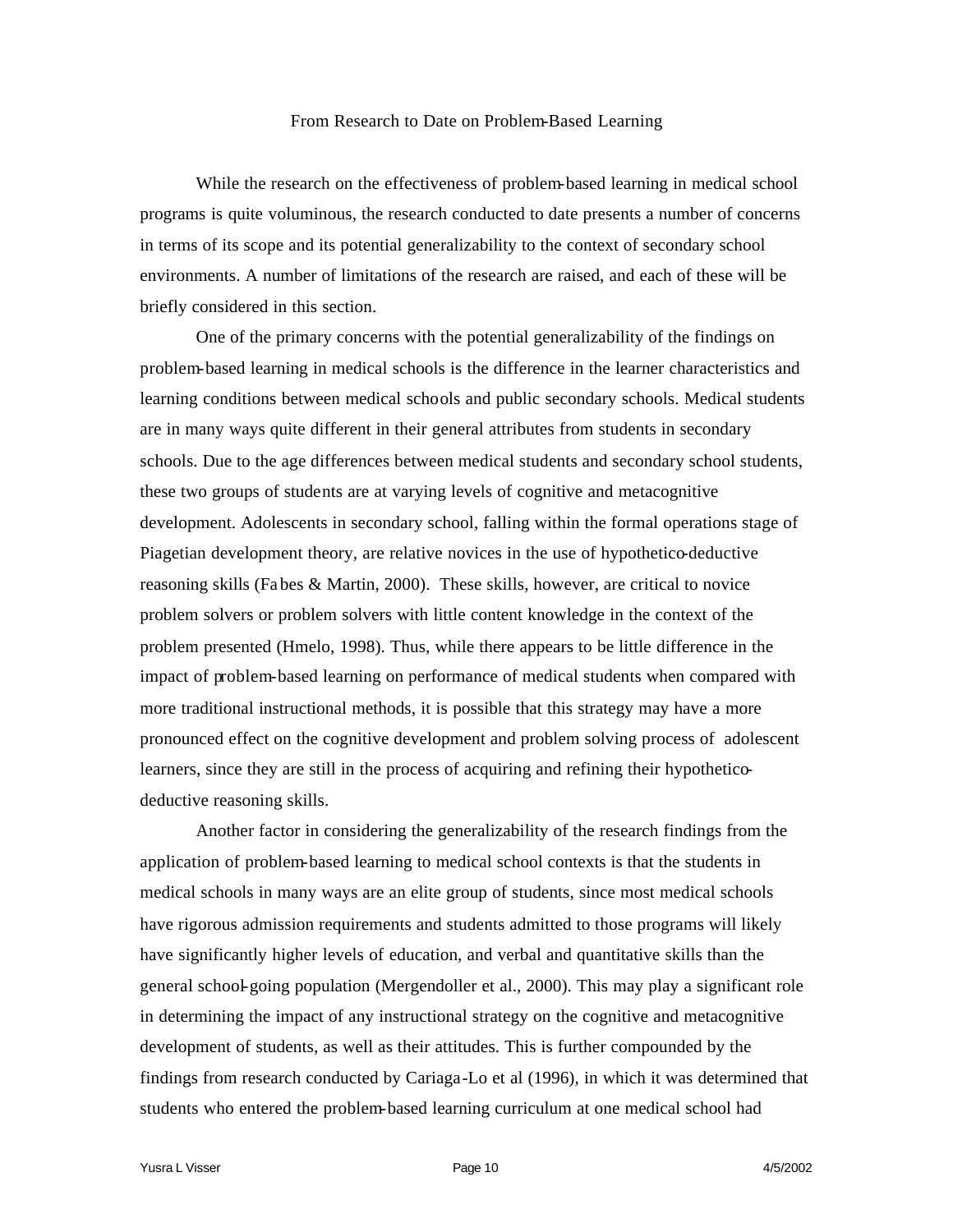#### From Research to Date on Problem-Based Learning

While the research on the effectiveness of problem-based learning in medical school programs is quite voluminous, the research conducted to date presents a number of concerns in terms of its scope and its potential generalizability to the context of secondary school environments. A number of limitations of the research are raised, and each of these will be briefly considered in this section.

One of the primary concerns with the potential generalizability of the findings on problem-based learning in medical schools is the difference in the learner characteristics and learning conditions between medical schools and public secondary schools. Medical students are in many ways quite different in their general attributes from students in secondary schools. Due to the age differences between medical students and secondary school students, these two groups of students are at varying levels of cognitive and metacognitive development. Adolescents in secondary school, falling within the formal operations stage of Piagetian development theory, are relative novices in the use of hypothetico-deductive reasoning skills (Fa bes & Martin, 2000). These skills, however, are critical to novice problem solvers or problem solvers with little content knowledge in the context of the problem presented (Hmelo, 1998). Thus, while there appears to be little difference in the impact of problem-based learning on performance of medical students when compared with more traditional instructional methods, it is possible that this strategy may have a more pronounced effect on the cognitive development and problem solving process of adolescent learners, since they are still in the process of acquiring and refining their hypotheticodeductive reasoning skills.

Another factor in considering the generalizability of the research findings from the application of problem-based learning to medical school contexts is that the students in medical schools in many ways are an elite group of students, since most medical schools have rigorous admission requirements and students admitted to those programs will likely have significantly higher levels of education, and verbal and quantitative skills than the general school-going population (Mergendoller et al., 2000). This may play a significant role in determining the impact of any instructional strategy on the cognitive and metacognitive development of students, as well as their attitudes. This is further compounded by the findings from research conducted by Cariaga-Lo et al (1996), in which it was determined that students who entered the problem-based learning curriculum at one medical school had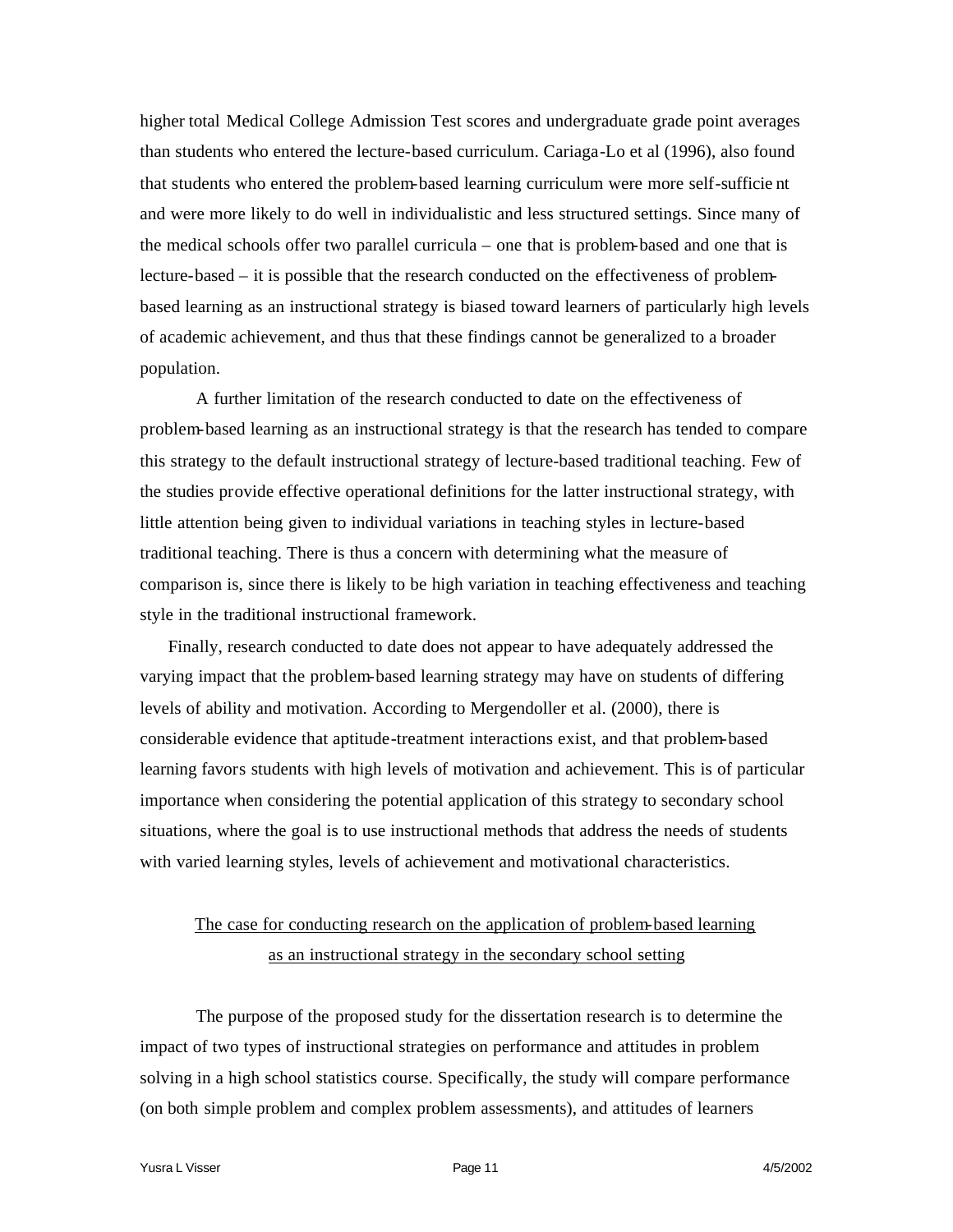higher total Medical College Admission Test scores and undergraduate grade point averages than students who entered the lecture-based curriculum. Cariaga-Lo et al (1996), also found that students who entered the problem-based learning curriculum were more self-sufficie nt and were more likely to do well in individualistic and less structured settings. Since many of the medical schools offer two parallel curricula – one that is problem-based and one that is lecture-based – it is possible that the research conducted on the effectiveness of problembased learning as an instructional strategy is biased toward learners of particularly high levels of academic achievement, and thus that these findings cannot be generalized to a broader population.

A further limitation of the research conducted to date on the effectiveness of problem-based learning as an instructional strategy is that the research has tended to compare this strategy to the default instructional strategy of lecture-based traditional teaching. Few of the studies provide effective operational definitions for the latter instructional strategy, with little attention being given to individual variations in teaching styles in lecture-based traditional teaching. There is thus a concern with determining what the measure of comparison is, since there is likely to be high variation in teaching effectiveness and teaching style in the traditional instructional framework.

Finally, research conducted to date does not appear to have adequately addressed the varying impact that the problem-based learning strategy may have on students of differing levels of ability and motivation. According to Mergendoller et al. (2000), there is considerable evidence that aptitude-treatment interactions exist, and that problem-based learning favors students with high levels of motivation and achievement. This is of particular importance when considering the potential application of this strategy to secondary school situations, where the goal is to use instructional methods that address the needs of students with varied learning styles, levels of achievement and motivational characteristics.

# The case for conducting research on the application of problem-based learning as an instructional strategy in the secondary school setting

The purpose of the proposed study for the dissertation research is to determine the impact of two types of instructional strategies on performance and attitudes in problem solving in a high school statistics course. Specifically, the study will compare performance (on both simple problem and complex problem assessments), and attitudes of learners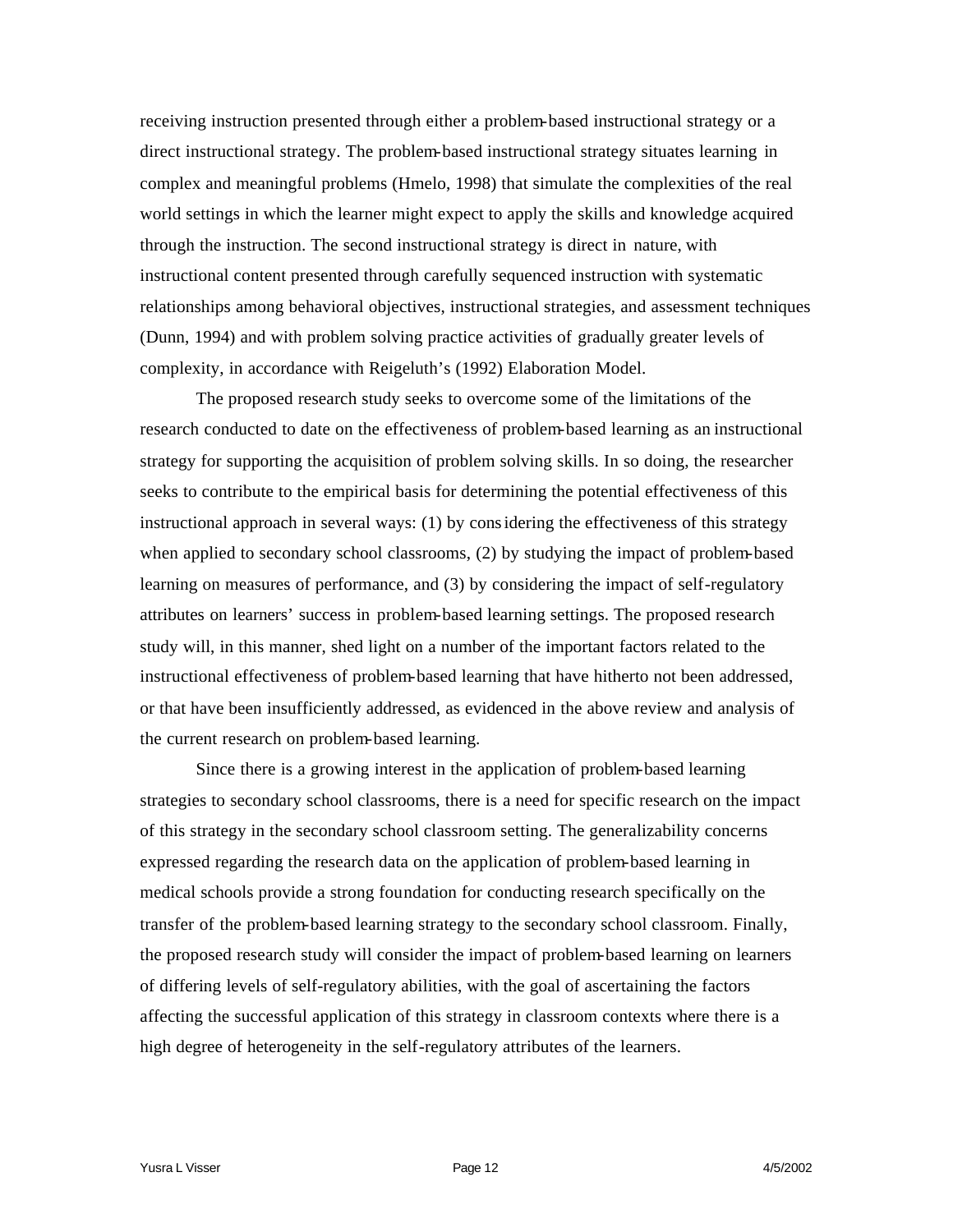receiving instruction presented through either a problem-based instructional strategy or a direct instructional strategy. The problem-based instructional strategy situates learning in complex and meaningful problems (Hmelo, 1998) that simulate the complexities of the real world settings in which the learner might expect to apply the skills and knowledge acquired through the instruction. The second instructional strategy is direct in nature, with instructional content presented through carefully sequenced instruction with systematic relationships among behavioral objectives, instructional strategies, and assessment techniques (Dunn, 1994) and with problem solving practice activities of gradually greater levels of complexity, in accordance with Reigeluth's (1992) Elaboration Model.

The proposed research study seeks to overcome some of the limitations of the research conducted to date on the effectiveness of problem-based learning as an instructional strategy for supporting the acquisition of problem solving skills. In so doing, the researcher seeks to contribute to the empirical basis for determining the potential effectiveness of this instructional approach in several ways: (1) by considering the effectiveness of this strategy when applied to secondary school classrooms, (2) by studying the impact of problem-based learning on measures of performance, and (3) by considering the impact of self-regulatory attributes on learners' success in problem-based learning settings. The proposed research study will, in this manner, shed light on a number of the important factors related to the instructional effectiveness of problem-based learning that have hitherto not been addressed, or that have been insufficiently addressed, as evidenced in the above review and analysis of the current research on problem-based learning.

Since there is a growing interest in the application of problem-based learning strategies to secondary school classrooms, there is a need for specific research on the impact of this strategy in the secondary school classroom setting. The generalizability concerns expressed regarding the research data on the application of problem-based learning in medical schools provide a strong foundation for conducting research specifically on the transfer of the problem-based learning strategy to the secondary school classroom. Finally, the proposed research study will consider the impact of problem-based learning on learners of differing levels of self-regulatory abilities, with the goal of ascertaining the factors affecting the successful application of this strategy in classroom contexts where there is a high degree of heterogeneity in the self-regulatory attributes of the learners.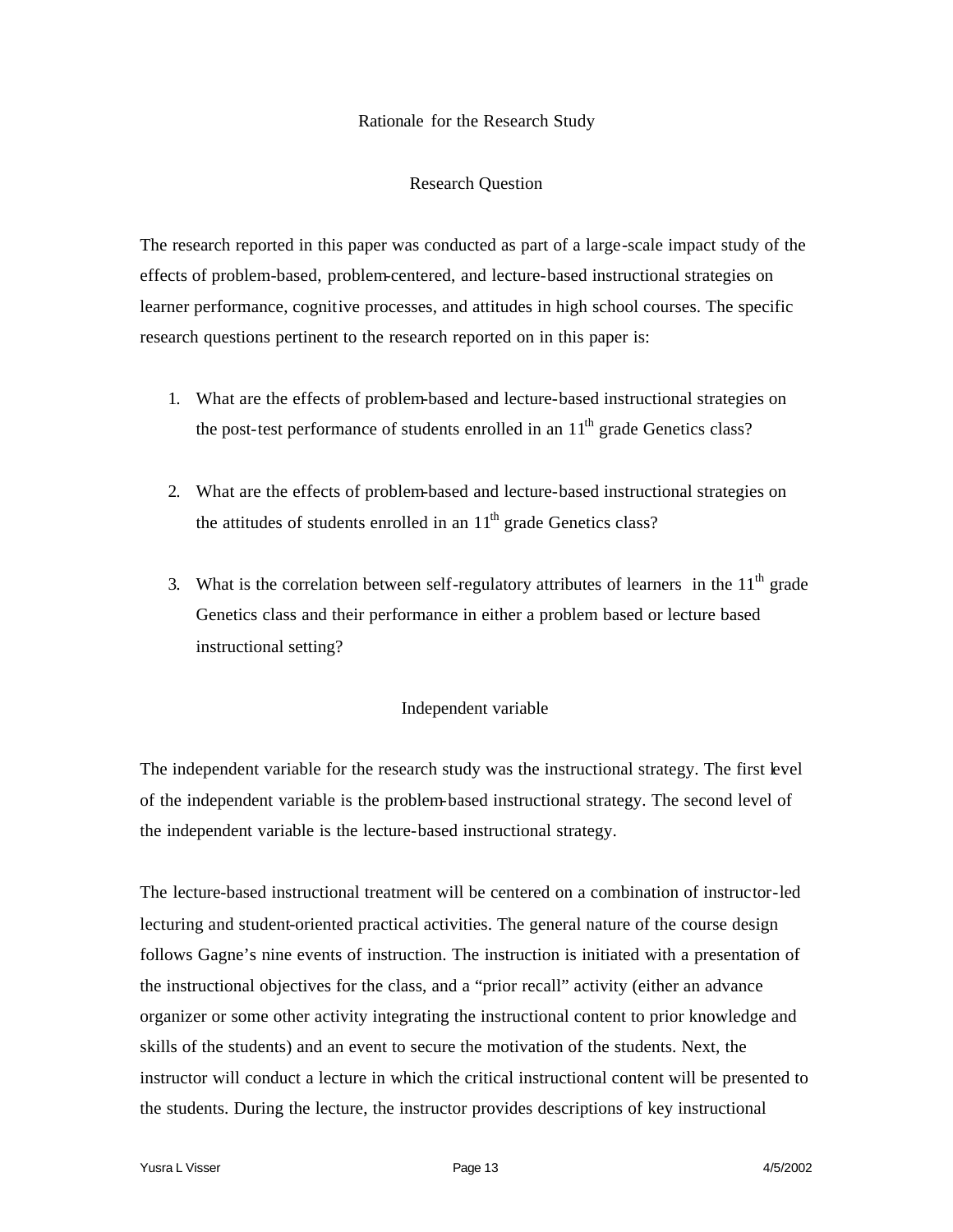# Rationale for the Research Study

# Research Question

The research reported in this paper was conducted as part of a large-scale impact study of the effects of problem-based, problem-centered, and lecture-based instructional strategies on learner performance, cognitive processes, and attitudes in high school courses. The specific research questions pertinent to the research reported on in this paper is:

- 1. What are the effects of problem-based and lecture-based instructional strategies on the post-test performance of students enrolled in an  $11<sup>th</sup>$  grade Genetics class?
- 2. What are the effects of problem-based and lecture-based instructional strategies on the attitudes of students enrolled in an  $11<sup>th</sup>$  grade Genetics class?
- 3. What is the correlation between self-regulatory attributes of learners in the  $11<sup>th</sup>$  grade Genetics class and their performance in either a problem based or lecture based instructional setting?

# Independent variable

The independent variable for the research study was the instructional strategy. The first level of the independent variable is the problem-based instructional strategy. The second level of the independent variable is the lecture-based instructional strategy.

The lecture-based instructional treatment will be centered on a combination of instructor-led lecturing and student-oriented practical activities. The general nature of the course design follows Gagne's nine events of instruction. The instruction is initiated with a presentation of the instructional objectives for the class, and a "prior recall" activity (either an advance organizer or some other activity integrating the instructional content to prior knowledge and skills of the students) and an event to secure the motivation of the students. Next, the instructor will conduct a lecture in which the critical instructional content will be presented to the students. During the lecture, the instructor provides descriptions of key instructional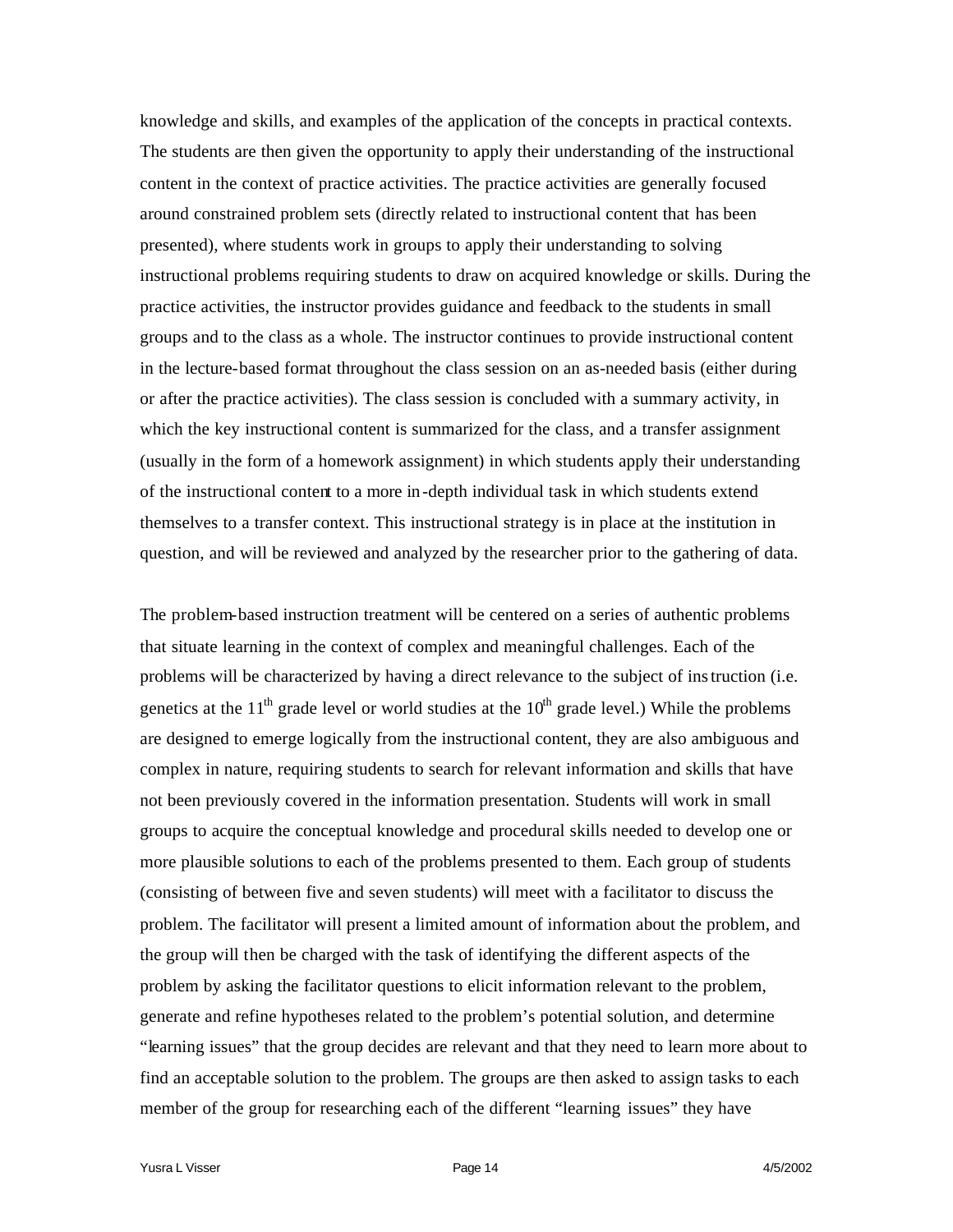knowledge and skills, and examples of the application of the concepts in practical contexts. The students are then given the opportunity to apply their understanding of the instructional content in the context of practice activities. The practice activities are generally focused around constrained problem sets (directly related to instructional content that has been presented), where students work in groups to apply their understanding to solving instructional problems requiring students to draw on acquired knowledge or skills. During the practice activities, the instructor provides guidance and feedback to the students in small groups and to the class as a whole. The instructor continues to provide instructional content in the lecture-based format throughout the class session on an as-needed basis (either during or after the practice activities). The class session is concluded with a summary activity, in which the key instructional content is summarized for the class, and a transfer assignment (usually in the form of a homework assignment) in which students apply their understanding of the instructional content to a more in-depth individual task in which students extend themselves to a transfer context. This instructional strategy is in place at the institution in question, and will be reviewed and analyzed by the researcher prior to the gathering of data.

The problem-based instruction treatment will be centered on a series of authentic problems that situate learning in the context of complex and meaningful challenges. Each of the problems will be characterized by having a direct relevance to the subject of instruction (i.e. genetics at the  $11<sup>th</sup>$  grade level or world studies at the  $10<sup>th</sup>$  grade level.) While the problems are designed to emerge logically from the instructional content, they are also ambiguous and complex in nature, requiring students to search for relevant information and skills that have not been previously covered in the information presentation. Students will work in small groups to acquire the conceptual knowledge and procedural skills needed to develop one or more plausible solutions to each of the problems presented to them. Each group of students (consisting of between five and seven students) will meet with a facilitator to discuss the problem. The facilitator will present a limited amount of information about the problem, and the group will then be charged with the task of identifying the different aspects of the problem by asking the facilitator questions to elicit information relevant to the problem, generate and refine hypotheses related to the problem's potential solution, and determine "learning issues" that the group decides are relevant and that they need to learn more about to find an acceptable solution to the problem. The groups are then asked to assign tasks to each member of the group for researching each of the different "learning issues" they have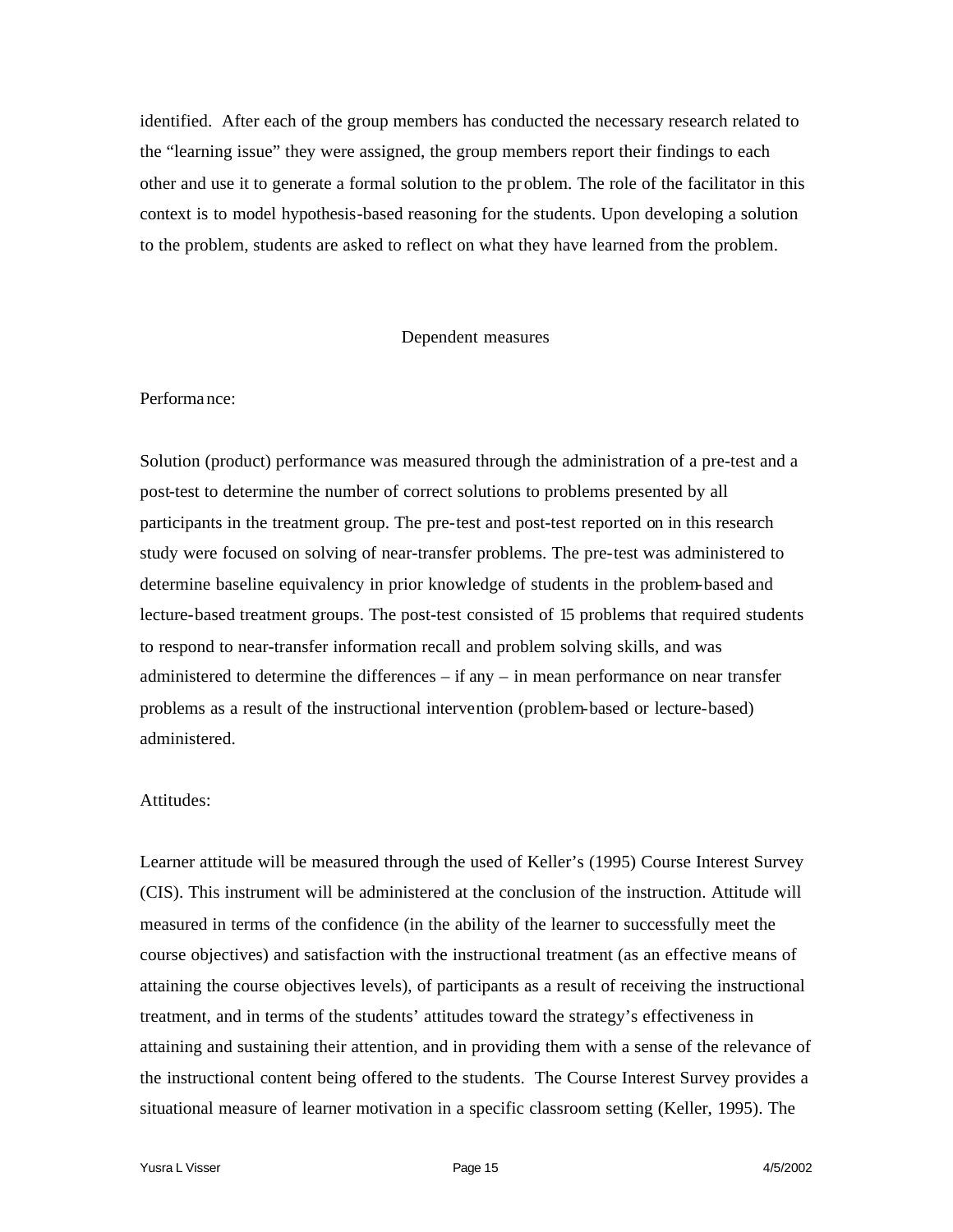identified. After each of the group members has conducted the necessary research related to the "learning issue" they were assigned, the group members report their findings to each other and use it to generate a formal solution to the pr oblem. The role of the facilitator in this context is to model hypothesis-based reasoning for the students. Upon developing a solution to the problem, students are asked to reflect on what they have learned from the problem.

# Dependent measures

## Performa nce:

Solution (product) performance was measured through the administration of a pre-test and a post-test to determine the number of correct solutions to problems presented by all participants in the treatment group. The pre-test and post-test reported on in this research study were focused on solving of near-transfer problems. The pre-test was administered to determine baseline equivalency in prior knowledge of students in the problem-based and lecture-based treatment groups. The post-test consisted of 15 problems that required students to respond to near-transfer information recall and problem solving skills, and was administered to determine the differences  $-$  if any  $-$  in mean performance on near transfer problems as a result of the instructional intervention (problem-based or lecture-based) administered.

# Attitudes:

Learner attitude will be measured through the used of Keller's (1995) Course Interest Survey (CIS). This instrument will be administered at the conclusion of the instruction. Attitude will measured in terms of the confidence (in the ability of the learner to successfully meet the course objectives) and satisfaction with the instructional treatment (as an effective means of attaining the course objectives levels), of participants as a result of receiving the instructional treatment, and in terms of the students' attitudes toward the strategy's effectiveness in attaining and sustaining their attention, and in providing them with a sense of the relevance of the instructional content being offered to the students. The Course Interest Survey provides a situational measure of learner motivation in a specific classroom setting (Keller, 1995). The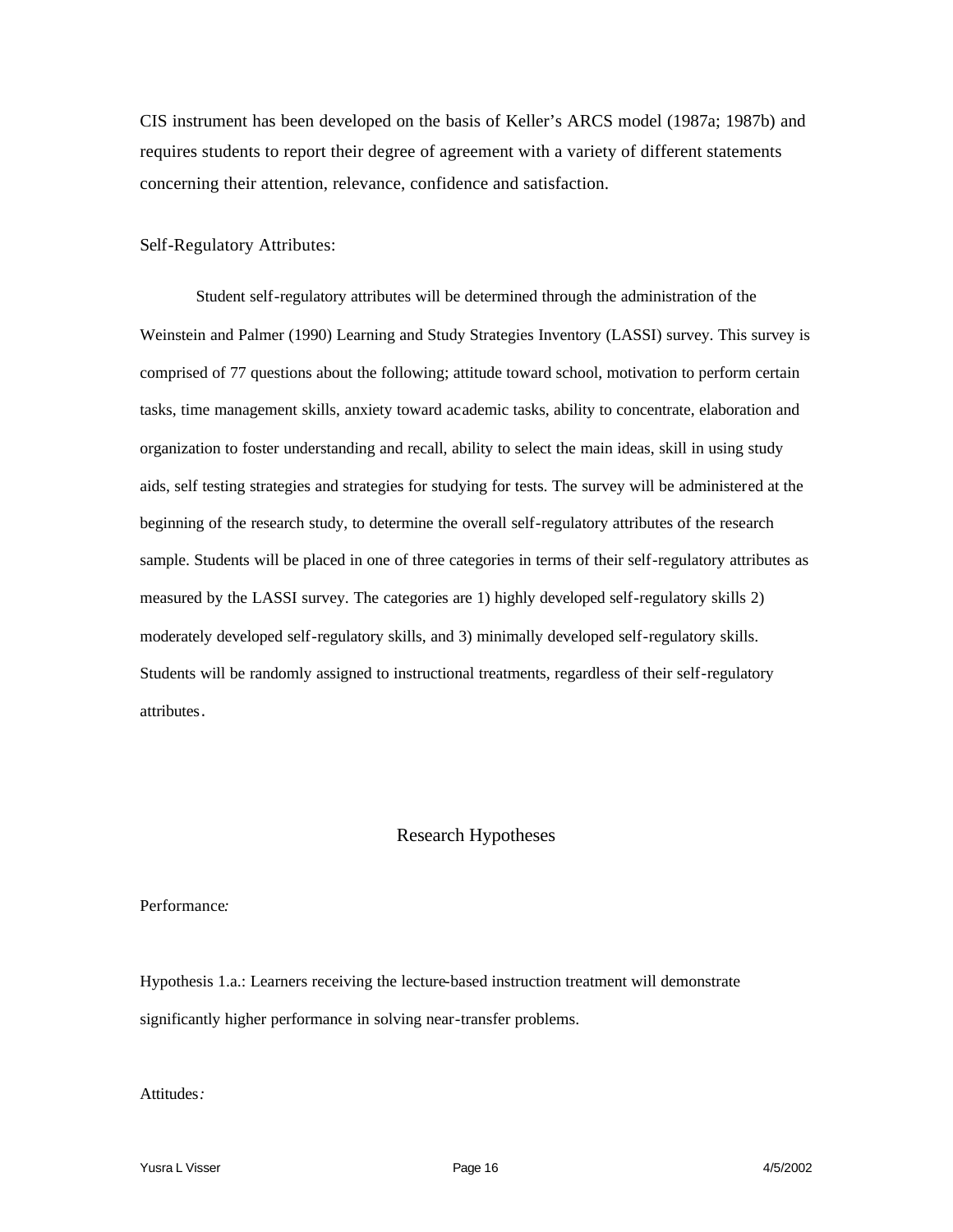CIS instrument has been developed on the basis of Keller's ARCS model (1987a; 1987b) and requires students to report their degree of agreement with a variety of different statements concerning their attention, relevance, confidence and satisfaction.

#### Self-Regulatory Attributes:

Student self-regulatory attributes will be determined through the administration of the Weinstein and Palmer (1990) Learning and Study Strategies Inventory (LASSI) survey. This survey is comprised of 77 questions about the following; attitude toward school, motivation to perform certain tasks, time management skills, anxiety toward academic tasks, ability to concentrate, elaboration and organization to foster understanding and recall, ability to select the main ideas, skill in using study aids, self testing strategies and strategies for studying for tests. The survey will be administered at the beginning of the research study, to determine the overall self-regulatory attributes of the research sample. Students will be placed in one of three categories in terms of their self-regulatory attributes as measured by the LASSI survey. The categories are 1) highly developed self-regulatory skills 2) moderately developed self-regulatory skills, and 3) minimally developed self-regulatory skills. Students will be randomly assigned to instructional treatments, regardless of their self-regulatory attributes.

## Research Hypotheses

#### Performance*:*

Hypothesis 1.a.: Learners receiving the lecture-based instruction treatment will demonstrate significantly higher performance in solving near-transfer problems.

#### Attitudes*:*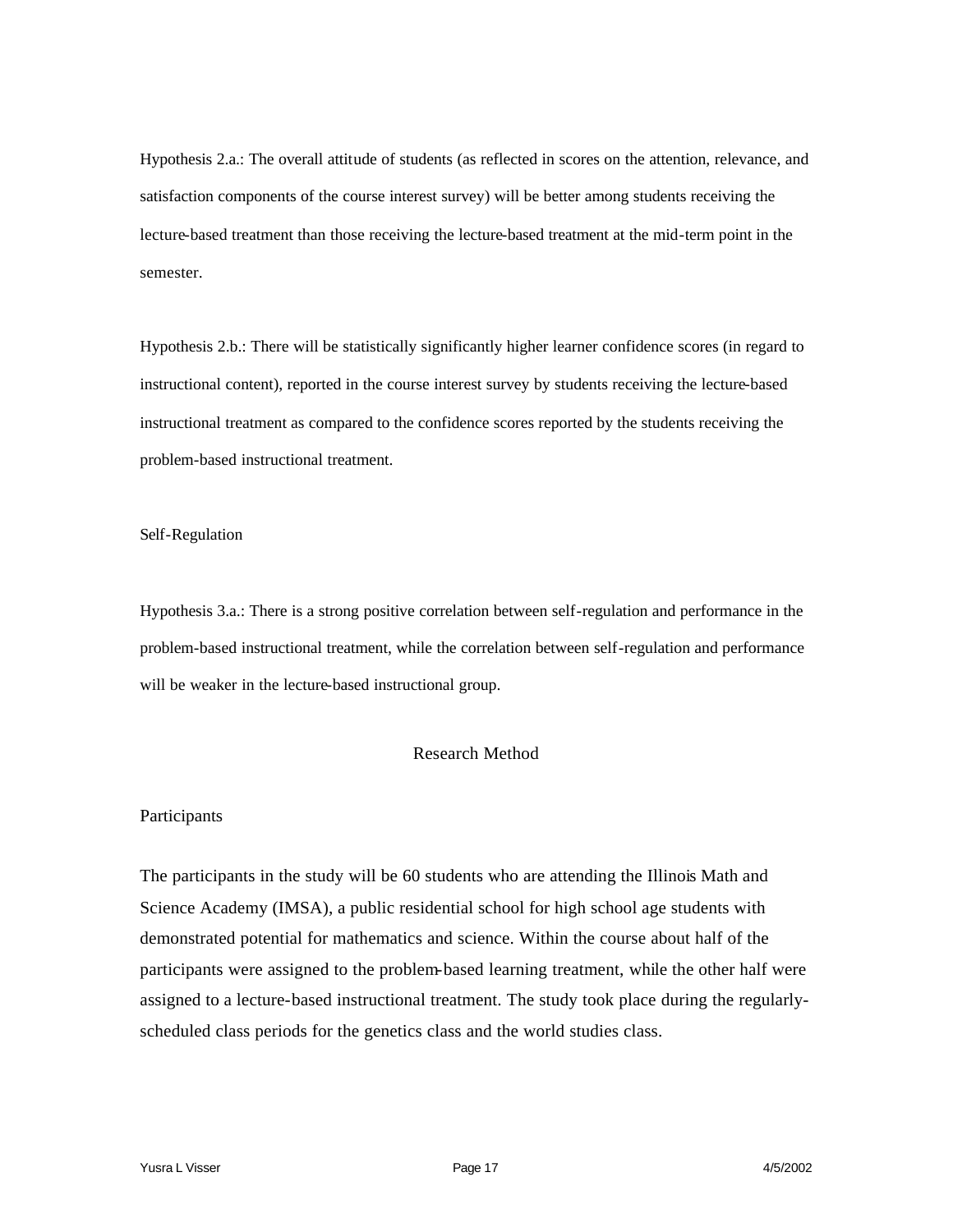Hypothesis 2.a.: The overall attitude of students (as reflected in scores on the attention, relevance, and satisfaction components of the course interest survey) will be better among students receiving the lecture-based treatment than those receiving the lecture-based treatment at the mid-term point in the semester.

Hypothesis 2.b.: There will be statistically significantly higher learner confidence scores (in regard to instructional content), reported in the course interest survey by students receiving the lecture-based instructional treatment as compared to the confidence scores reported by the students receiving the problem-based instructional treatment.

Self-Regulation

Hypothesis 3.a.: There is a strong positive correlation between self-regulation and performance in the problem-based instructional treatment, while the correlation between self-regulation and performance will be weaker in the lecture-based instructional group.

# Research Method

#### Participants

The participants in the study will be 60 students who are attending the Illinois Math and Science Academy (IMSA), a public residential school for high school age students with demonstrated potential for mathematics and science. Within the course about half of the participants were assigned to the problem-based learning treatment, while the other half were assigned to a lecture-based instructional treatment. The study took place during the regularlyscheduled class periods for the genetics class and the world studies class.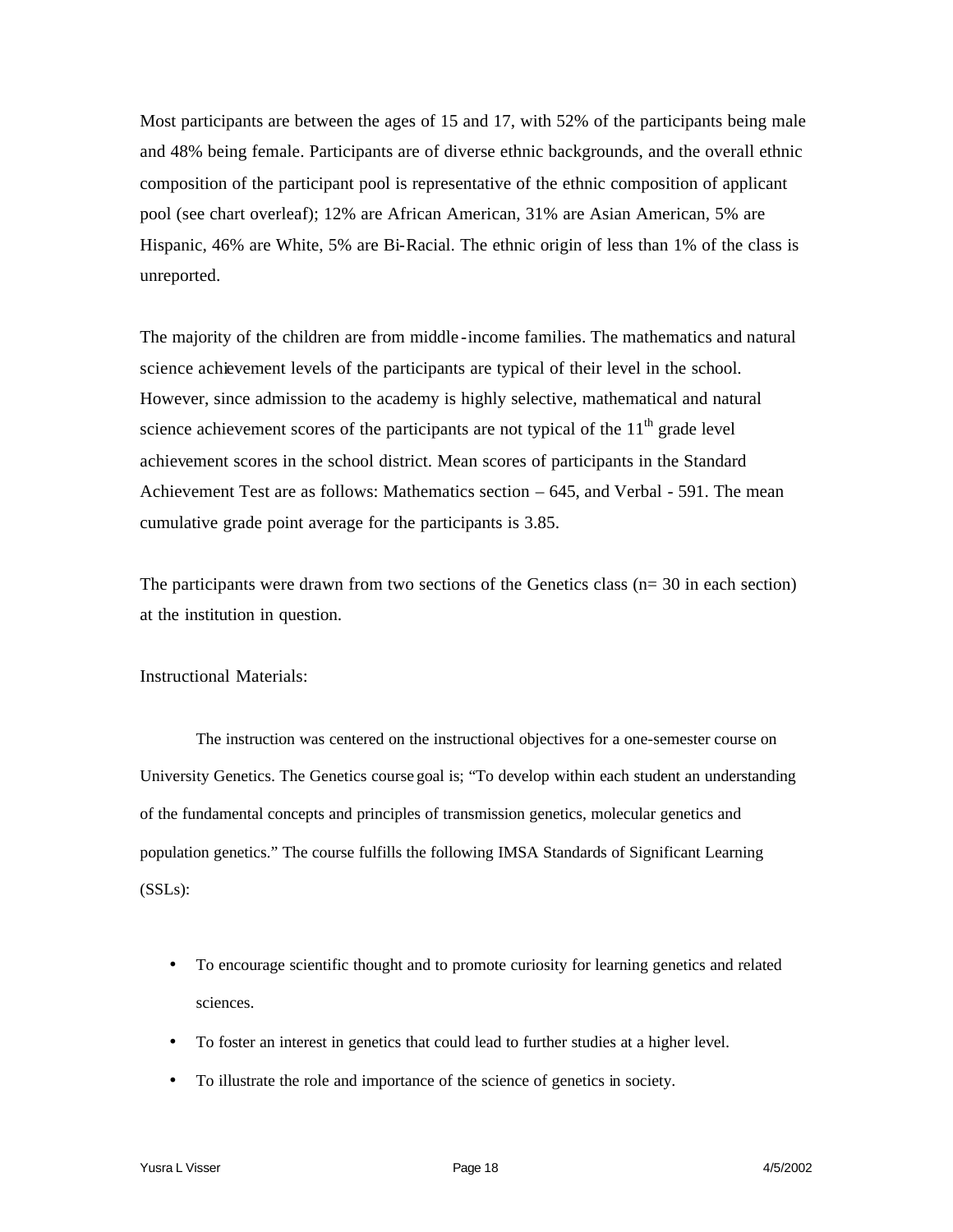Most participants are between the ages of 15 and 17, with 52% of the participants being male and 48% being female. Participants are of diverse ethnic backgrounds, and the overall ethnic composition of the participant pool is representative of the ethnic composition of applicant pool (see chart overleaf); 12% are African American, 31% are Asian American, 5% are Hispanic, 46% are White, 5% are Bi-Racial. The ethnic origin of less than 1% of the class is unreported.

The majority of the children are from middle -income families. The mathematics and natural science achievement levels of the participants are typical of their level in the school. However, since admission to the academy is highly selective, mathematical and natural science achievement scores of the participants are not typical of the  $11<sup>th</sup>$  grade level achievement scores in the school district. Mean scores of participants in the Standard Achievement Test are as follows: Mathematics section – 645, and Verbal - 591. The mean cumulative grade point average for the participants is 3.85.

The participants were drawn from two sections of the Genetics class (n= 30 in each section) at the institution in question.

Instructional Materials:

The instruction was centered on the instructional objectives for a one-semester course on University Genetics. The Genetics course goal is; "To develop within each student an understanding of the fundamental concepts and principles of transmission genetics, molecular genetics and population genetics." The course fulfills the following IMSA Standards of Significant Learning (SSLs):

- To encourage scientific thought and to promote curiosity for learning genetics and related sciences.
- To foster an interest in genetics that could lead to further studies at a higher level.
- To illustrate the role and importance of the science of genetics in society.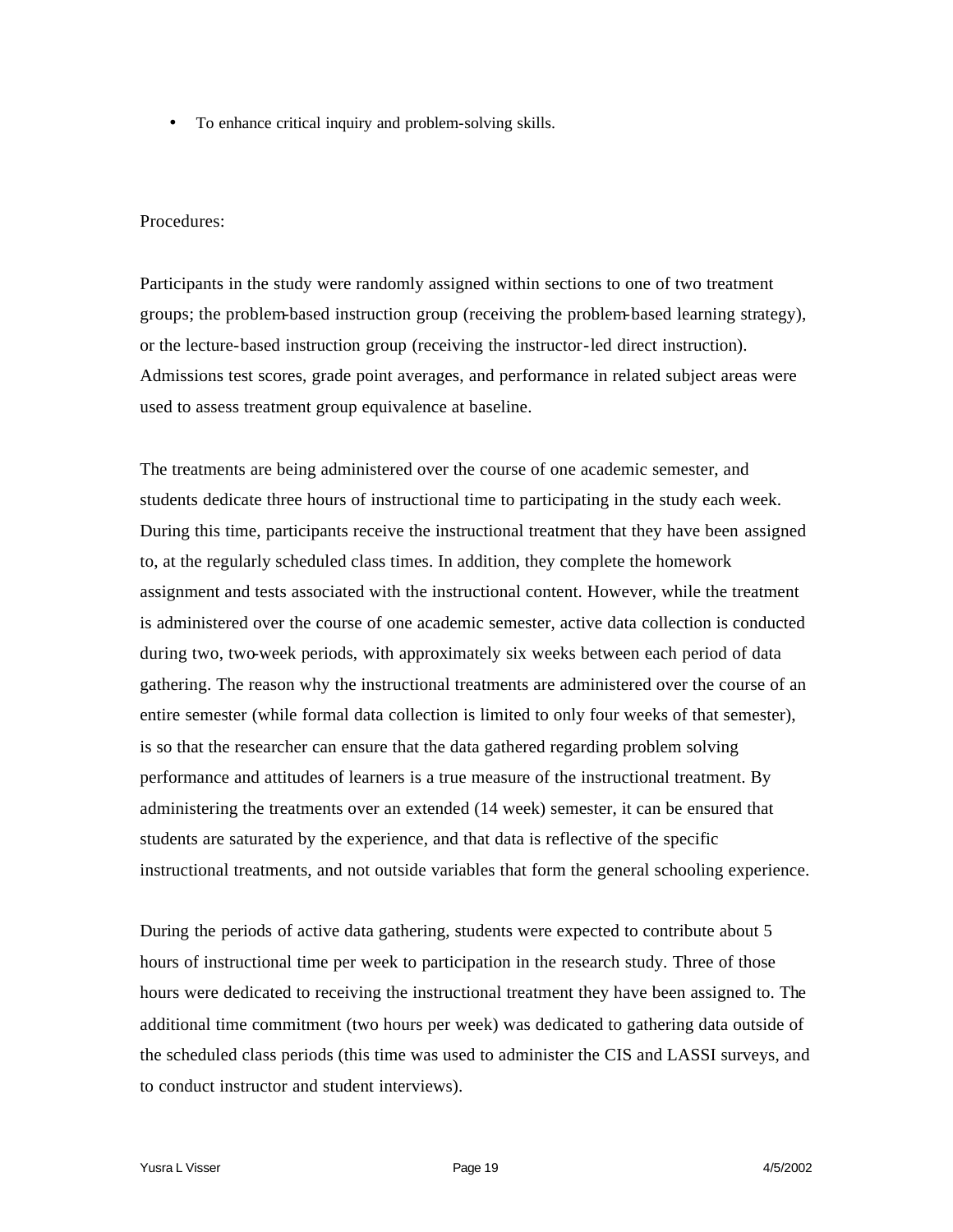• To enhance critical inquiry and problem-solving skills.

# Procedures:

Participants in the study were randomly assigned within sections to one of two treatment groups; the problem-based instruction group (receiving the problem-based learning strategy), or the lecture-based instruction group (receiving the instructor-led direct instruction). Admissions test scores, grade point averages, and performance in related subject areas were used to assess treatment group equivalence at baseline.

The treatments are being administered over the course of one academic semester, and students dedicate three hours of instructional time to participating in the study each week. During this time, participants receive the instructional treatment that they have been assigned to, at the regularly scheduled class times. In addition, they complete the homework assignment and tests associated with the instructional content. However, while the treatment is administered over the course of one academic semester, active data collection is conducted during two, two-week periods, with approximately six weeks between each period of data gathering. The reason why the instructional treatments are administered over the course of an entire semester (while formal data collection is limited to only four weeks of that semester), is so that the researcher can ensure that the data gathered regarding problem solving performance and attitudes of learners is a true measure of the instructional treatment. By administering the treatments over an extended (14 week) semester, it can be ensured that students are saturated by the experience, and that data is reflective of the specific instructional treatments, and not outside variables that form the general schooling experience.

During the periods of active data gathering, students were expected to contribute about 5 hours of instructional time per week to participation in the research study. Three of those hours were dedicated to receiving the instructional treatment they have been assigned to. The additional time commitment (two hours per week) was dedicated to gathering data outside of the scheduled class periods (this time was used to administer the CIS and LASSI surveys, and to conduct instructor and student interviews).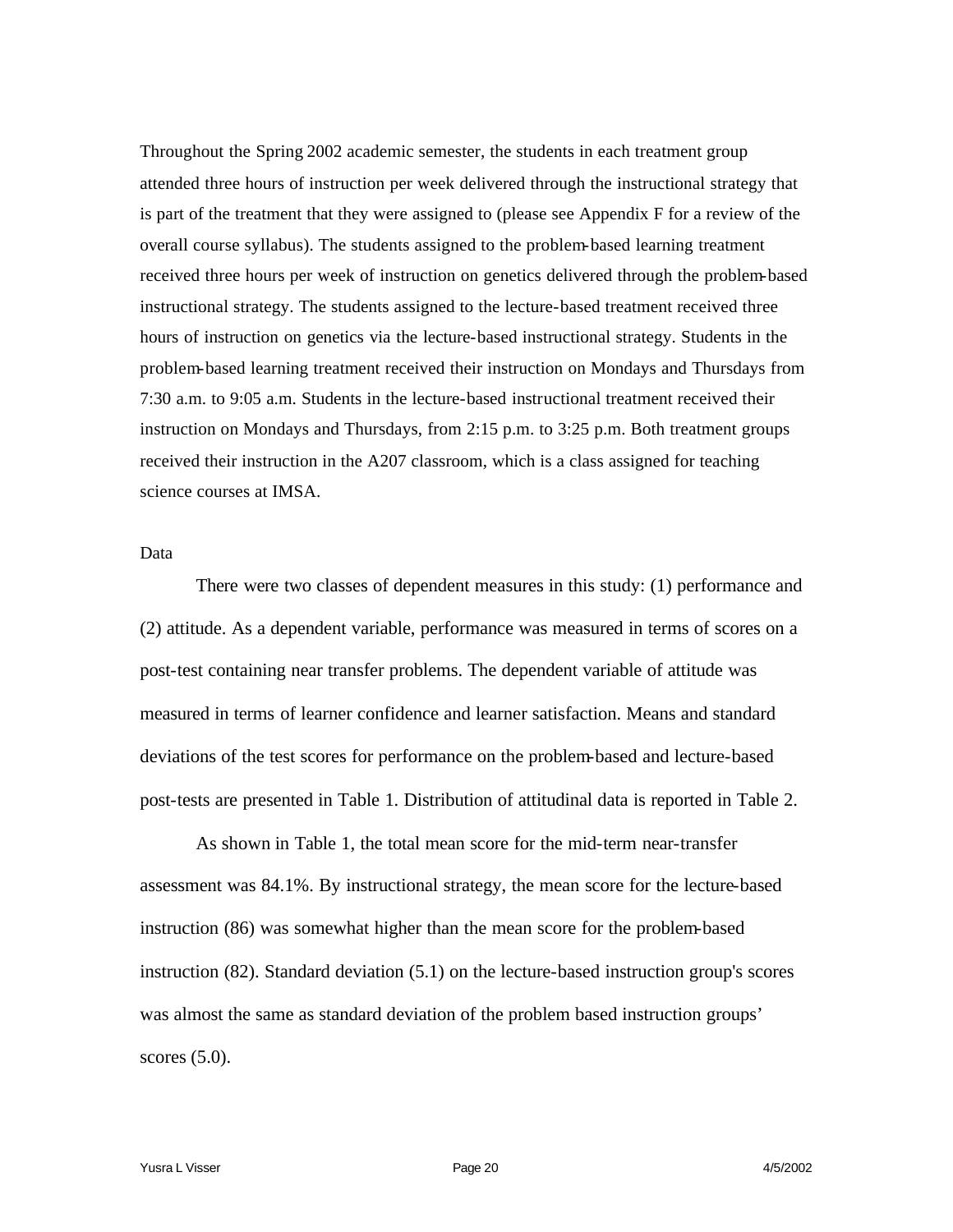Throughout the Spring 2002 academic semester, the students in each treatment group attended three hours of instruction per week delivered through the instructional strategy that is part of the treatment that they were assigned to (please see Appendix F for a review of the overall course syllabus). The students assigned to the problem-based learning treatment received three hours per week of instruction on genetics delivered through the problem-based instructional strategy. The students assigned to the lecture-based treatment received three hours of instruction on genetics via the lecture-based instructional strategy. Students in the problem-based learning treatment received their instruction on Mondays and Thursdays from 7:30 a.m. to 9:05 a.m. Students in the lecture-based instructional treatment received their instruction on Mondays and Thursdays, from 2:15 p.m. to 3:25 p.m. Both treatment groups received their instruction in the A207 classroom, which is a class assigned for teaching science courses at IMSA.

#### Data

There were two classes of dependent measures in this study: (1) performance and (2) attitude. As a dependent variable, performance was measured in terms of scores on a post-test containing near transfer problems. The dependent variable of attitude was measured in terms of learner confidence and learner satisfaction. Means and standard deviations of the test scores for performance on the problem-based and lecture-based post-tests are presented in Table 1. Distribution of attitudinal data is reported in Table 2.

As shown in Table 1, the total mean score for the mid-term near-transfer assessment was 84.1%. By instructional strategy, the mean score for the lecture-based instruction (86) was somewhat higher than the mean score for the problem-based instruction (82). Standard deviation (5.1) on the lecture-based instruction group's scores was almost the same as standard deviation of the problem based instruction groups' scores (5.0).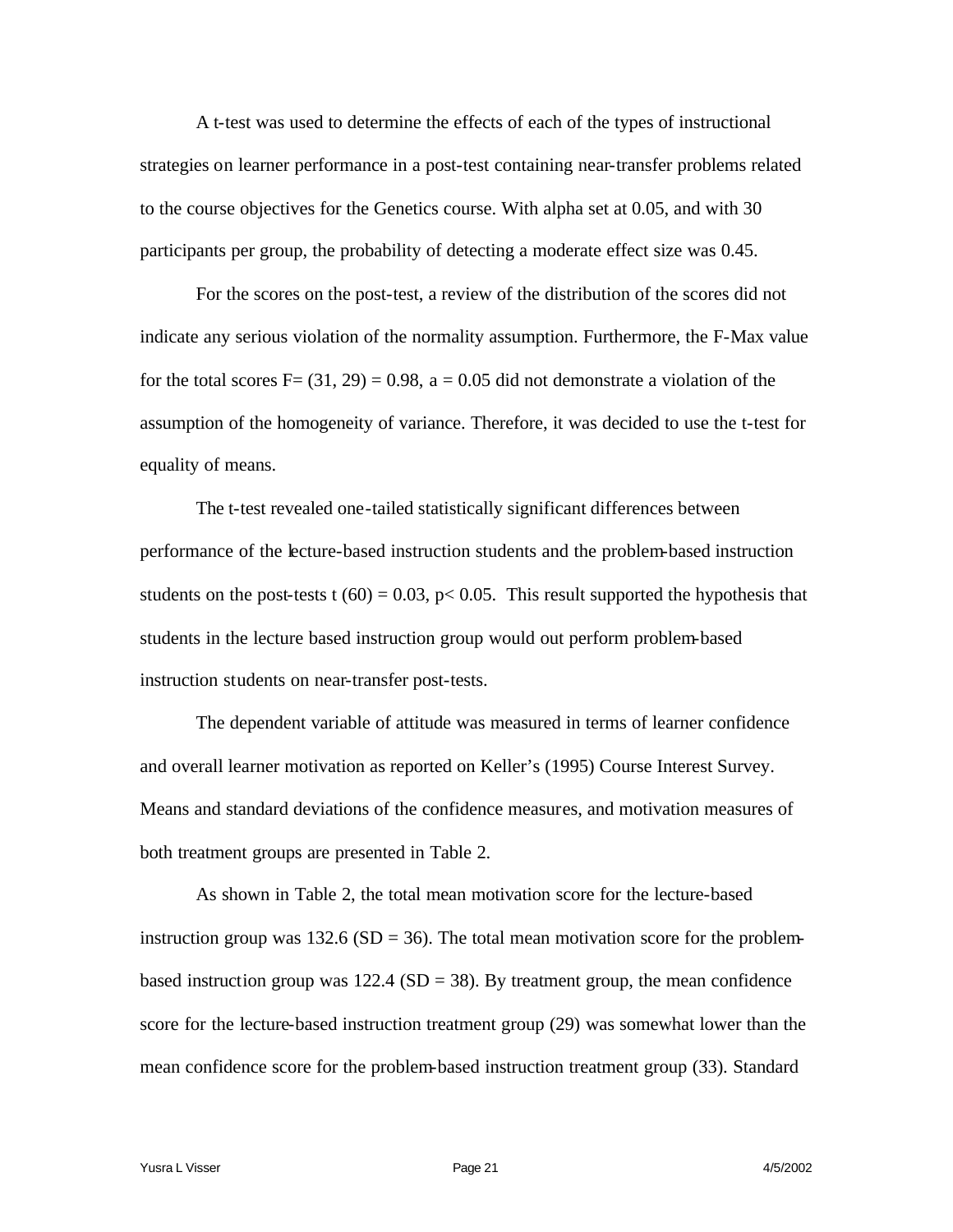A t-test was used to determine the effects of each of the types of instructional strategies on learner performance in a post-test containing near-transfer problems related to the course objectives for the Genetics course. With alpha set at 0.05, and with 30 participants per group, the probability of detecting a moderate effect size was 0.45.

For the scores on the post-test, a review of the distribution of the scores did not indicate any serious violation of the normality assumption. Furthermore, the F-Max value for the total scores  $F=(31, 29) = 0.98$ ,  $a = 0.05$  did not demonstrate a violation of the assumption of the homogeneity of variance. Therefore, it was decided to use the t-test for equality of means.

The t-test revealed one-tailed statistically significant differences between performance of the lecture-based instruction students and the problem-based instruction students on the post-tests t  $(60) = 0.03$ , p $< 0.05$ . This result supported the hypothesis that students in the lecture based instruction group would out perform problem-based instruction students on near-transfer post-tests.

The dependent variable of attitude was measured in terms of learner confidence and overall learner motivation as reported on Keller's (1995) Course Interest Survey. Means and standard deviations of the confidence measures, and motivation measures of both treatment groups are presented in Table 2.

As shown in Table 2, the total mean motivation score for the lecture-based instruction group was  $132.6$  (SD = 36). The total mean motivation score for the problembased instruction group was  $122.4$  (SD = 38). By treatment group, the mean confidence score for the lecture-based instruction treatment group (29) was somewhat lower than the mean confidence score for the problem-based instruction treatment group (33). Standard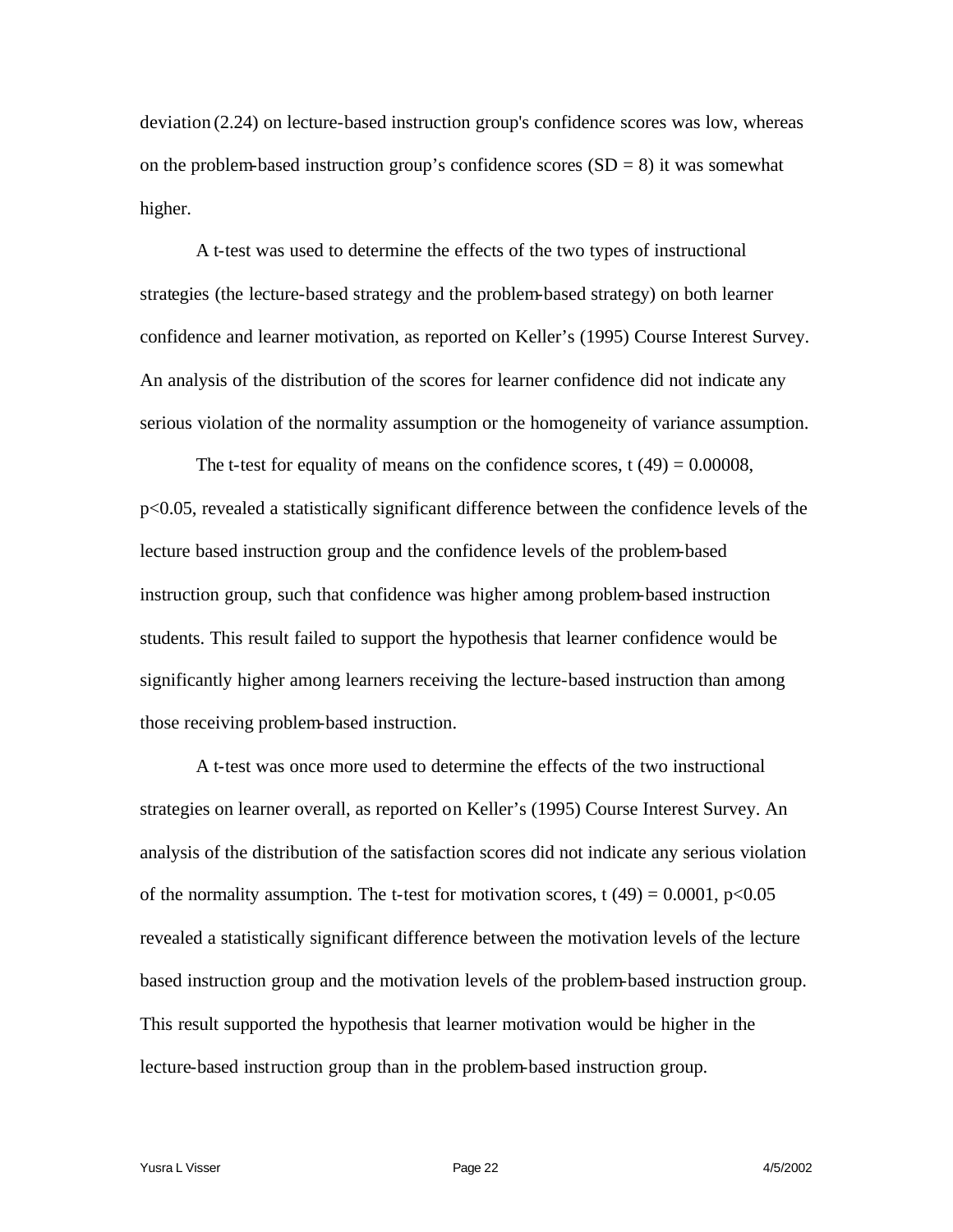deviation (2.24) on lecture-based instruction group's confidence scores was low, whereas on the problem-based instruction group's confidence scores  $(SD = 8)$  it was somewhat higher.

A t-test was used to determine the effects of the two types of instructional strategies (the lecture-based strategy and the problem-based strategy) on both learner confidence and learner motivation, as reported on Keller's (1995) Course Interest Survey. An analysis of the distribution of the scores for learner confidence did not indicate any serious violation of the normality assumption or the homogeneity of variance assumption.

The t-test for equality of means on the confidence scores, t  $(49) = 0.00008$ , p<0.05, revealed a statistically significant difference between the confidence levels of the lecture based instruction group and the confidence levels of the problem-based instruction group, such that confidence was higher among problem-based instruction students. This result failed to support the hypothesis that learner confidence would be significantly higher among learners receiving the lecture-based instruction than among those receiving problem-based instruction.

A t-test was once more used to determine the effects of the two instructional strategies on learner overall, as reported on Keller's (1995) Course Interest Survey. An analysis of the distribution of the satisfaction scores did not indicate any serious violation of the normality assumption. The t-test for motivation scores, t  $(49) = 0.0001$ , p<0.05 revealed a statistically significant difference between the motivation levels of the lecture based instruction group and the motivation levels of the problem-based instruction group. This result supported the hypothesis that learner motivation would be higher in the lecture-based instruction group than in the problem-based instruction group.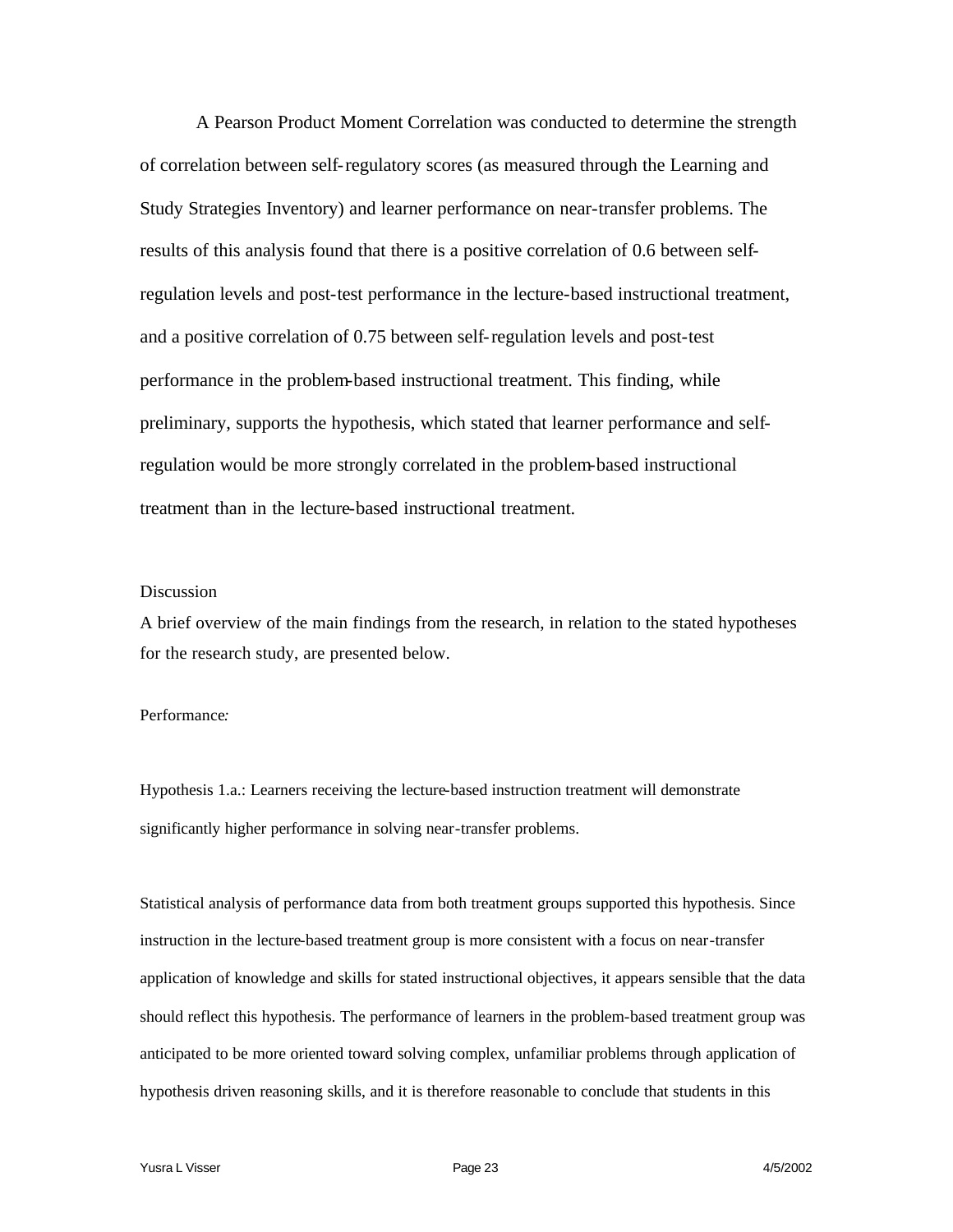A Pearson Product Moment Correlation was conducted to determine the strength of correlation between self-regulatory scores (as measured through the Learning and Study Strategies Inventory) and learner performance on near-transfer problems. The results of this analysis found that there is a positive correlation of 0.6 between selfregulation levels and post-test performance in the lecture-based instructional treatment, and a positive correlation of 0.75 between self-regulation levels and post-test performance in the problem-based instructional treatment. This finding, while preliminary, supports the hypothesis, which stated that learner performance and selfregulation would be more strongly correlated in the problem-based instructional treatment than in the lecture-based instructional treatment.

# **Discussion**

A brief overview of the main findings from the research, in relation to the stated hypotheses for the research study, are presented below.

## Performance*:*

Hypothesis 1.a.: Learners receiving the lecture-based instruction treatment will demonstrate significantly higher performance in solving near-transfer problems.

Statistical analysis of performance data from both treatment groups supported this hypothesis. Since instruction in the lecture-based treatment group is more consistent with a focus on near-transfer application of knowledge and skills for stated instructional objectives, it appears sensible that the data should reflect this hypothesis. The performance of learners in the problem-based treatment group was anticipated to be more oriented toward solving complex, unfamiliar problems through application of hypothesis driven reasoning skills, and it is therefore reasonable to conclude that students in this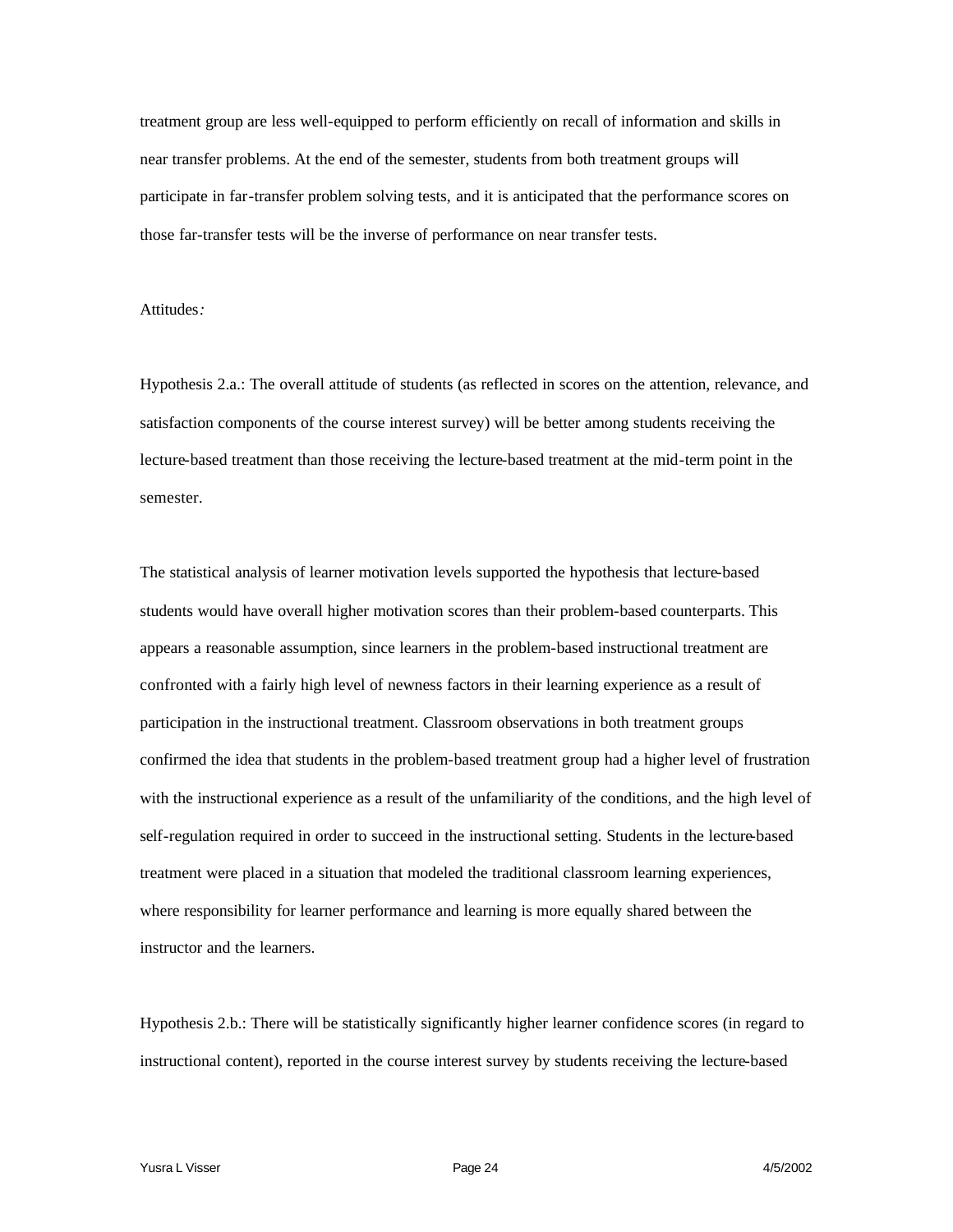treatment group are less well-equipped to perform efficiently on recall of information and skills in near transfer problems. At the end of the semester, students from both treatment groups will participate in far-transfer problem solving tests, and it is anticipated that the performance scores on those far-transfer tests will be the inverse of performance on near transfer tests.

Attitudes*:*

Hypothesis 2.a.: The overall attitude of students (as reflected in scores on the attention, relevance, and satisfaction components of the course interest survey) will be better among students receiving the lecture-based treatment than those receiving the lecture-based treatment at the mid-term point in the semester.

The statistical analysis of learner motivation levels supported the hypothesis that lecture-based students would have overall higher motivation scores than their problem-based counterparts. This appears a reasonable assumption, since learners in the problem-based instructional treatment are confronted with a fairly high level of newness factors in their learning experience as a result of participation in the instructional treatment. Classroom observations in both treatment groups confirmed the idea that students in the problem-based treatment group had a higher level of frustration with the instructional experience as a result of the unfamiliarity of the conditions, and the high level of self-regulation required in order to succeed in the instructional setting. Students in the lecture-based treatment were placed in a situation that modeled the traditional classroom learning experiences, where responsibility for learner performance and learning is more equally shared between the instructor and the learners.

Hypothesis 2.b.: There will be statistically significantly higher learner confidence scores (in regard to instructional content), reported in the course interest survey by students receiving the lecture-based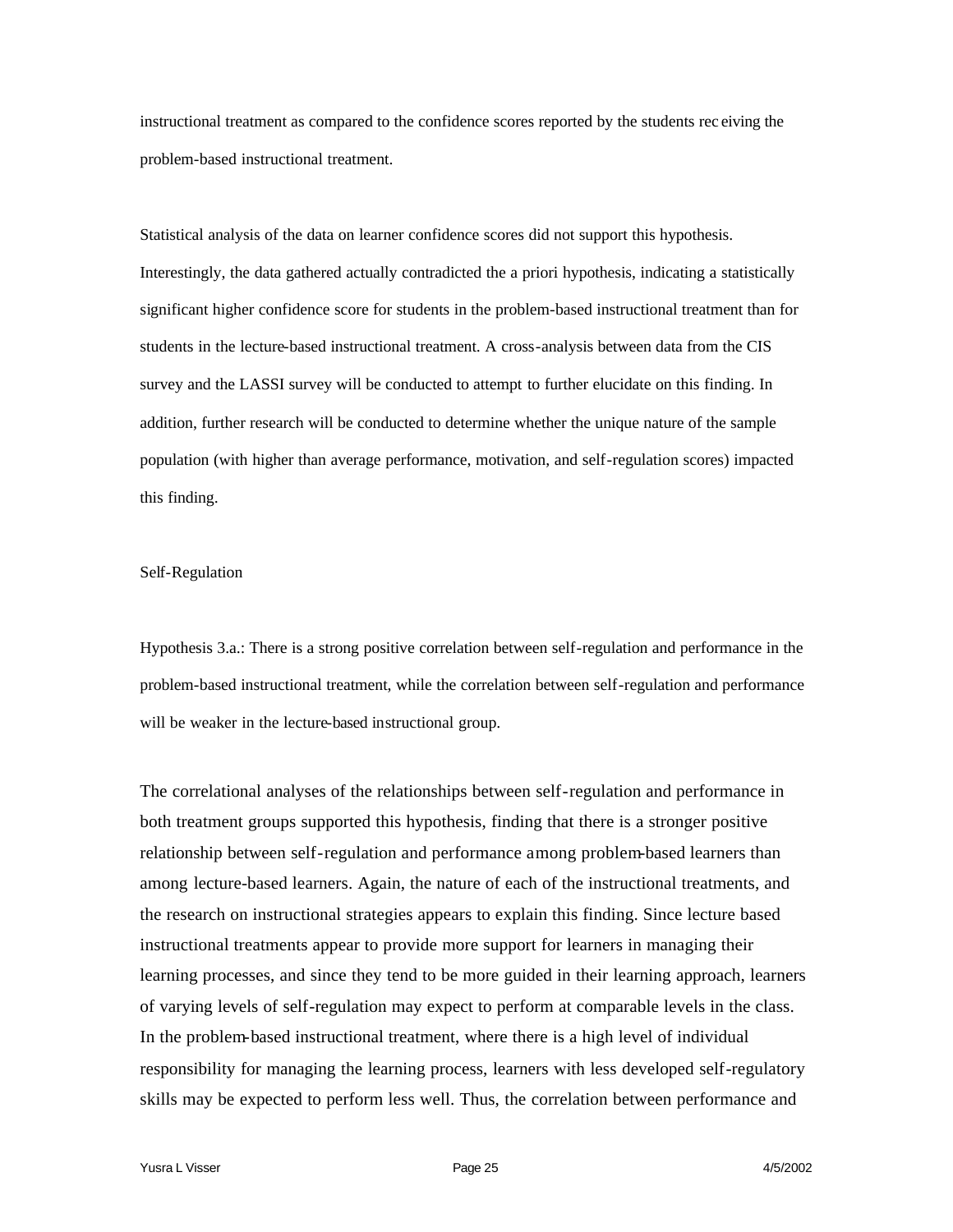instructional treatment as compared to the confidence scores reported by the students rec eiving the problem-based instructional treatment.

Statistical analysis of the data on learner confidence scores did not support this hypothesis. Interestingly, the data gathered actually contradicted the a priori hypothesis, indicating a statistically significant higher confidence score for students in the problem-based instructional treatment than for students in the lecture-based instructional treatment. A cross-analysis between data from the CIS survey and the LASSI survey will be conducted to attempt to further elucidate on this finding. In addition, further research will be conducted to determine whether the unique nature of the sample population (with higher than average performance, motivation, and self-regulation scores) impacted this finding.

## Self-Regulation

Hypothesis 3.a.: There is a strong positive correlation between self-regulation and performance in the problem-based instructional treatment, while the correlation between self-regulation and performance will be weaker in the lecture-based instructional group.

The correlational analyses of the relationships between self-regulation and performance in both treatment groups supported this hypothesis, finding that there is a stronger positive relationship between self-regulation and performance among problem-based learners than among lecture-based learners. Again, the nature of each of the instructional treatments, and the research on instructional strategies appears to explain this finding. Since lecture based instructional treatments appear to provide more support for learners in managing their learning processes, and since they tend to be more guided in their learning approach, learners of varying levels of self-regulation may expect to perform at comparable levels in the class. In the problem-based instructional treatment, where there is a high level of individual responsibility for managing the learning process, learners with less developed self-regulatory skills may be expected to perform less well. Thus, the correlation between performance and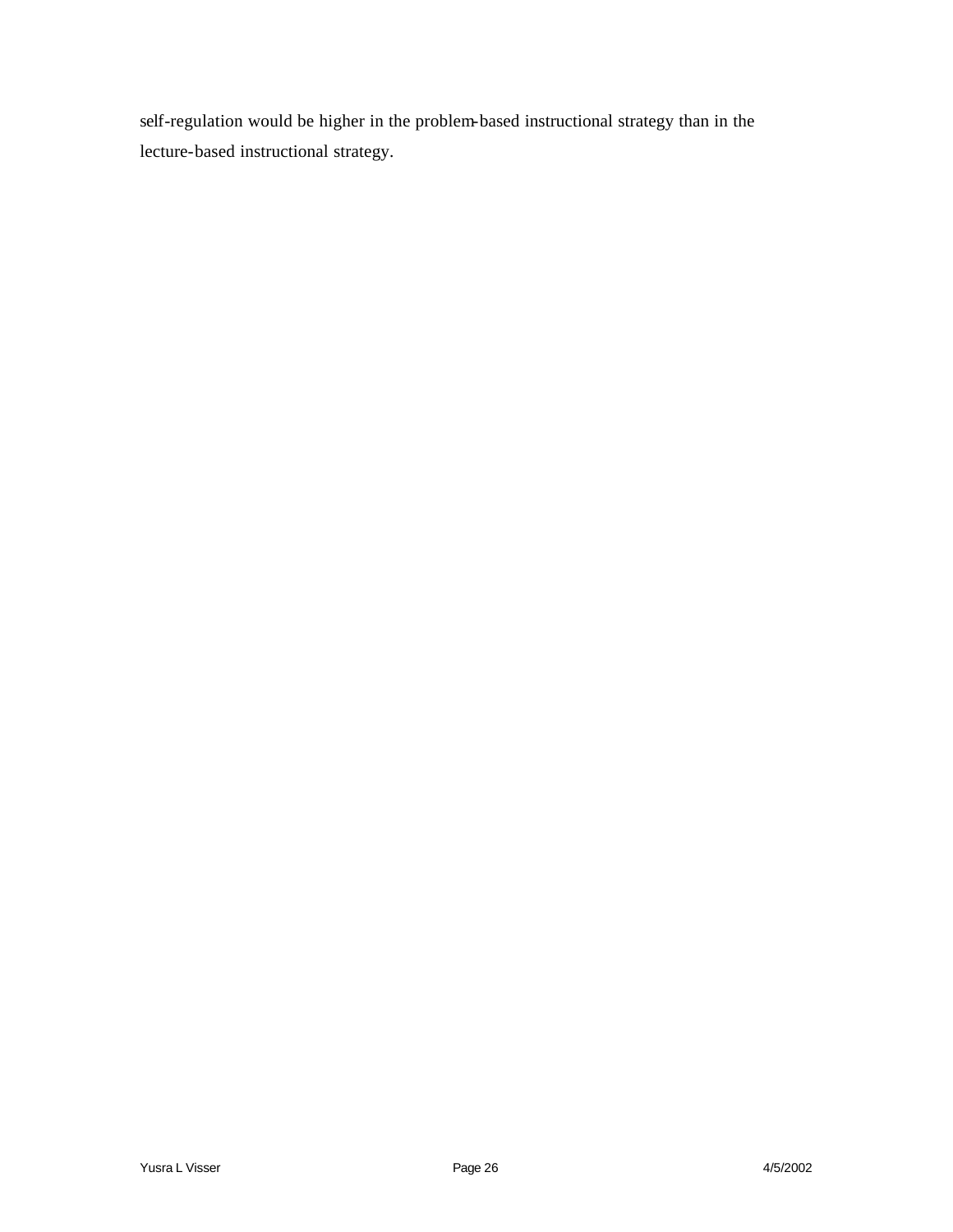self-regulation would be higher in the problem-based instructional strategy than in the lecture-based instructional strategy.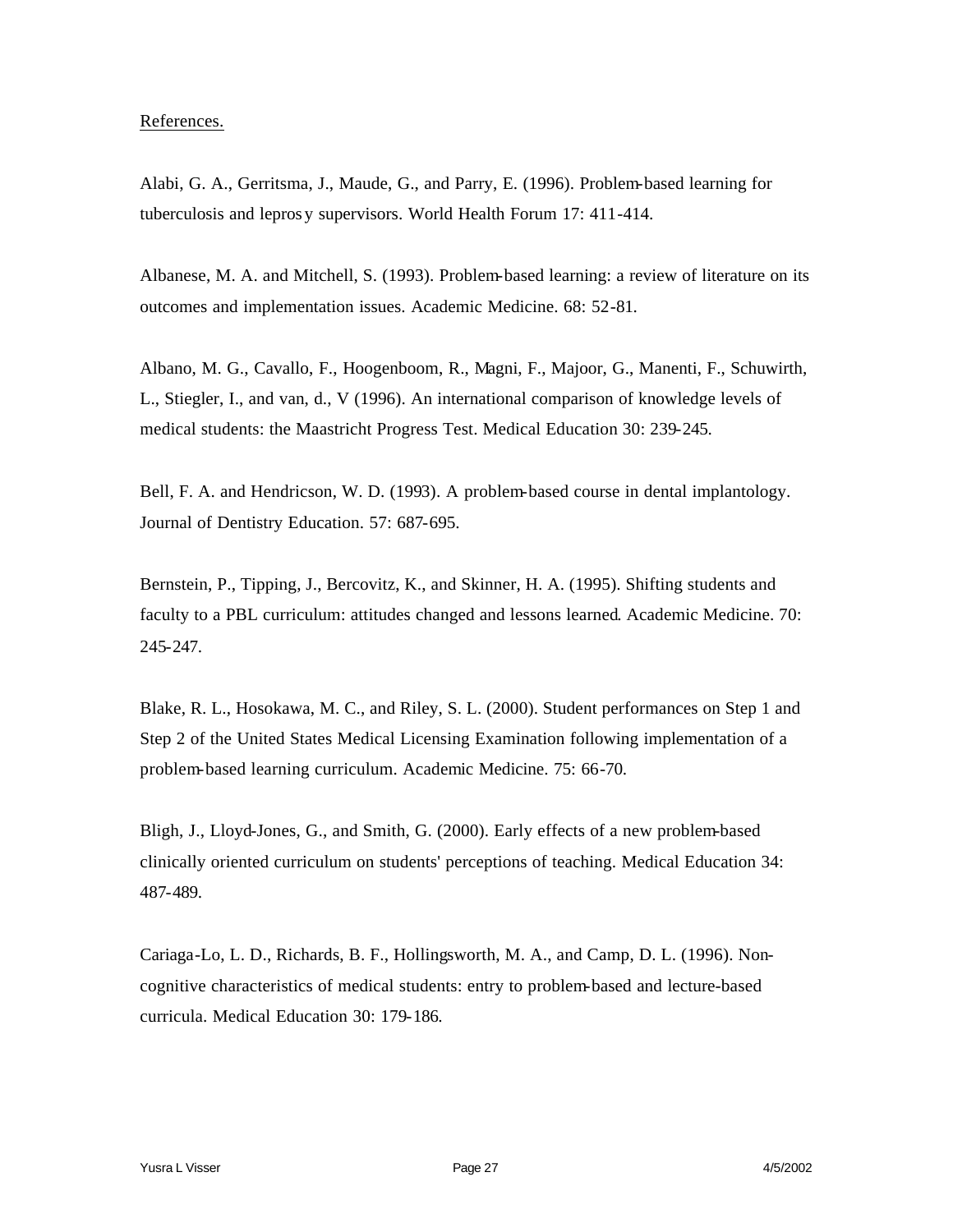## References.

Alabi, G. A., Gerritsma, J., Maude, G., and Parry, E. (1996). Problem-based learning for tuberculosis and lepros y supervisors. World Health Forum 17: 411-414.

Albanese, M. A. and Mitchell, S. (1993). Problem-based learning: a review of literature on its outcomes and implementation issues. Academic Medicine. 68: 52-81.

Albano, M. G., Cavallo, F., Hoogenboom, R., Magni, F., Majoor, G., Manenti, F., Schuwirth, L., Stiegler, I., and van, d., V (1996). An international comparison of knowledge levels of medical students: the Maastricht Progress Test. Medical Education 30: 239-245.

Bell, F. A. and Hendricson, W. D. (1993). A problem-based course in dental implantology. Journal of Dentistry Education. 57: 687-695.

Bernstein, P., Tipping, J., Bercovitz, K., and Skinner, H. A. (1995). Shifting students and faculty to a PBL curriculum: attitudes changed and lessons learned. Academic Medicine. 70: 245-247.

Blake, R. L., Hosokawa, M. C., and Riley, S. L. (2000). Student performances on Step 1 and Step 2 of the United States Medical Licensing Examination following implementation of a problem-based learning curriculum. Academic Medicine. 75: 66-70.

Bligh, J., Lloyd-Jones, G., and Smith, G. (2000). Early effects of a new problem-based clinically oriented curriculum on students' perceptions of teaching. Medical Education 34: 487-489.

Cariaga-Lo, L. D., Richards, B. F., Hollingsworth, M. A., and Camp, D. L. (1996). Noncognitive characteristics of medical students: entry to problem-based and lecture-based curricula. Medical Education 30: 179-186.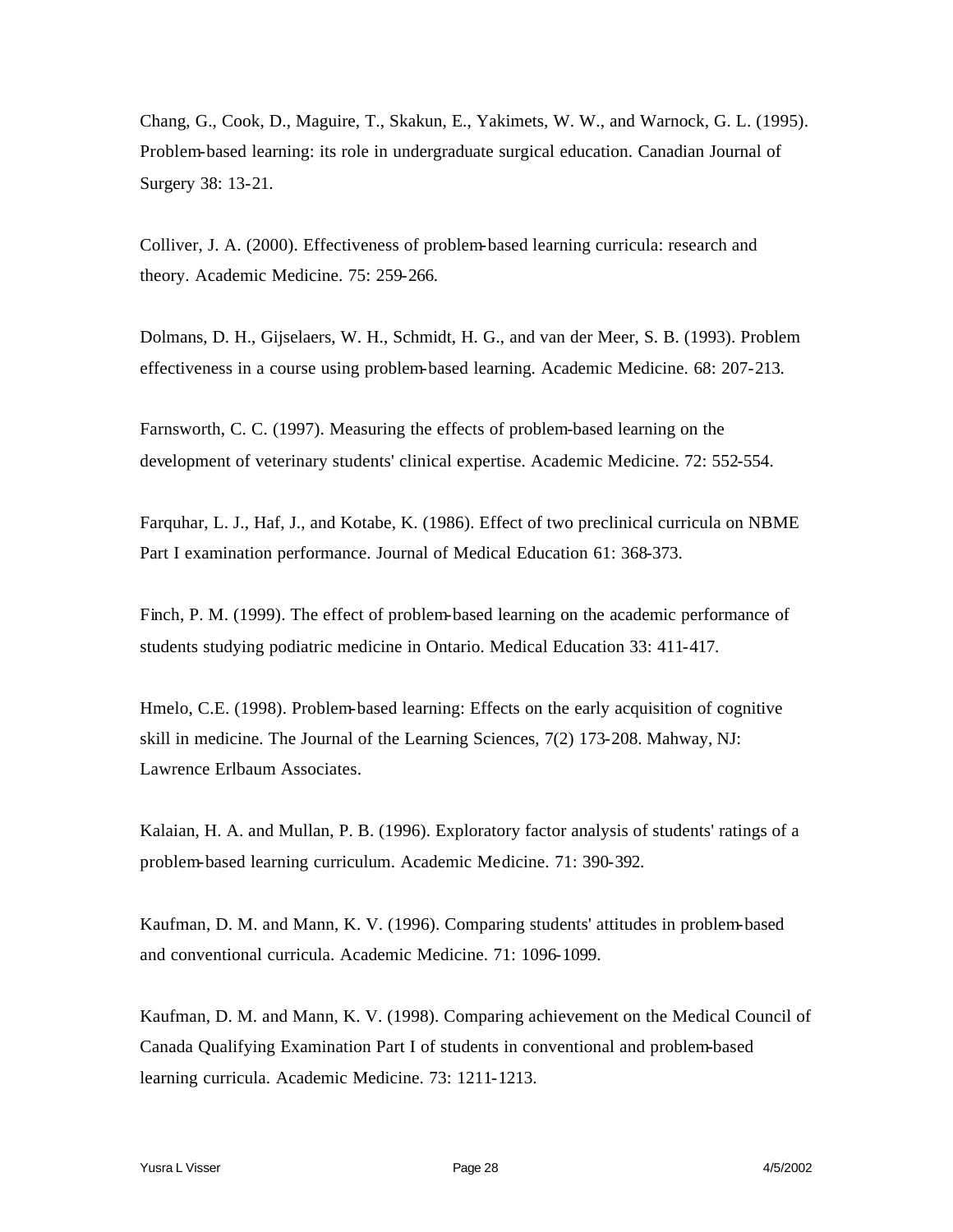Chang, G., Cook, D., Maguire, T., Skakun, E., Yakimets, W. W., and Warnock, G. L. (1995). Problem-based learning: its role in undergraduate surgical education. Canadian Journal of Surgery 38: 13-21.

Colliver, J. A. (2000). Effectiveness of problem-based learning curricula: research and theory. Academic Medicine. 75: 259-266.

Dolmans, D. H., Gijselaers, W. H., Schmidt, H. G., and van der Meer, S. B. (1993). Problem effectiveness in a course using problem-based learning. Academic Medicine. 68: 207-213.

Farnsworth, C. C. (1997). Measuring the effects of problem-based learning on the development of veterinary students' clinical expertise. Academic Medicine. 72: 552-554.

Farquhar, L. J., Haf, J., and Kotabe, K. (1986). Effect of two preclinical curricula on NBME Part I examination performance. Journal of Medical Education 61: 368-373.

Finch, P. M. (1999). The effect of problem-based learning on the academic performance of students studying podiatric medicine in Ontario. Medical Education 33: 411-417.

Hmelo, C.E. (1998). Problem-based learning: Effects on the early acquisition of cognitive skill in medicine. The Journal of the Learning Sciences, 7(2) 173-208. Mahway, NJ: Lawrence Erlbaum Associates.

Kalaian, H. A. and Mullan, P. B. (1996). Exploratory factor analysis of students' ratings of a problem-based learning curriculum. Academic Medicine. 71: 390-392.

Kaufman, D. M. and Mann, K. V. (1996). Comparing students' attitudes in problem-based and conventional curricula. Academic Medicine. 71: 1096-1099.

Kaufman, D. M. and Mann, K. V. (1998). Comparing achievement on the Medical Council of Canada Qualifying Examination Part I of students in conventional and problem-based learning curricula. Academic Medicine. 73: 1211-1213.